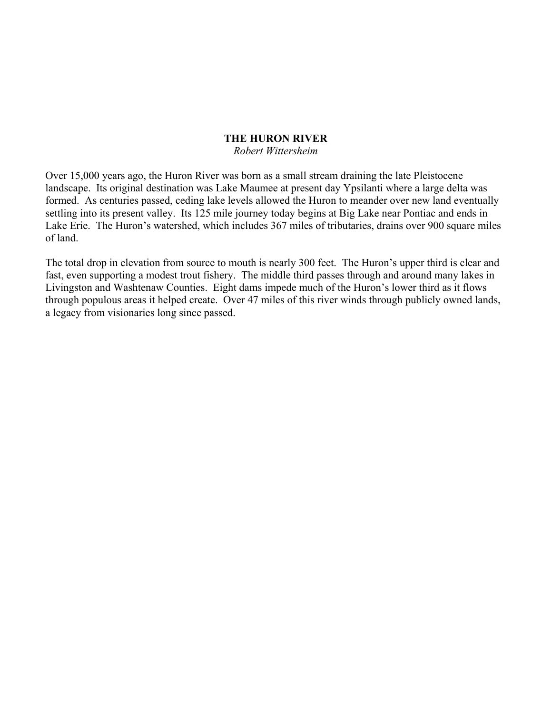#### **THE HURON RIVER**

#### *Robert Wittersheim*

Over 15,000 years ago, the Huron River was born as a small stream draining the late Pleistocene landscape. Its original destination was Lake Maumee at present day Ypsilanti where a large delta was formed. As centuries passed, ceding lake levels allowed the Huron to meander over new land eventually settling into its present valley. Its 125 mile journey today begins at Big Lake near Pontiac and ends in Lake Erie. The Huron's watershed, which includes 367 miles of tributaries, drains over 900 square miles of land.

The total drop in elevation from source to mouth is nearly 300 feet. The Huron's upper third is clear and fast, even supporting a modest trout fishery. The middle third passes through and around many lakes in Livingston and Washtenaw Counties. Eight dams impede much of the Huron's lower third as it flows through populous areas it helped create. Over 47 miles of this river winds through publicly owned lands, a legacy from visionaries long since passed.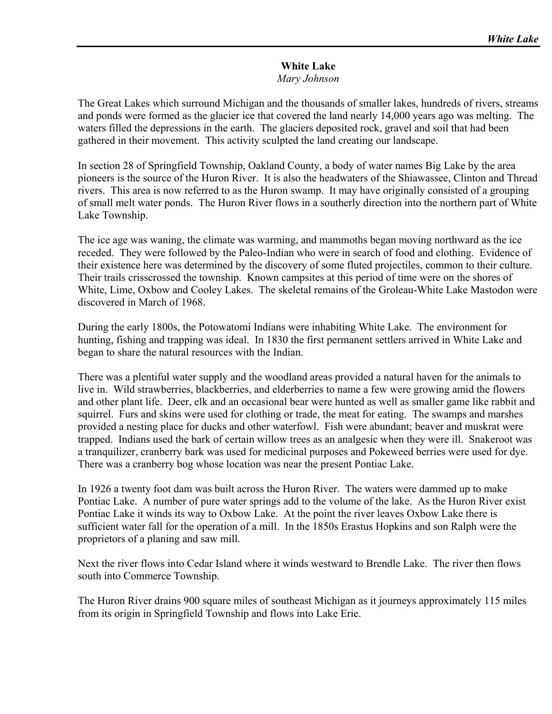### **White Lake**  *Mary Johnson*

The Great Lakes which surround Michigan and the thousands of smaller lakes, hundreds of rivers, streams and ponds were formed as the glacier ice that covered the land nearly 14,000 years ago was melting. The waters filled the depressions in the earth. The glaciers deposited rock, gravel and soil that had been gathered in their movement. This activity sculpted the land creating our landscape.

In section 28 of Springfield Township, Oakland County, a body of water names Big Lake by the area pioneers is the source of the Huron River. It is also the headwaters of the Shiawassee, Clinton and Thread rivers. This area is now referred to as the Huron swamp. It may have originally consisted of a grouping of small melt water ponds. The Huron River flows in a southerly direction into the northern part of White Lake Township.

The ice age was waning, the climate was warming, and mammoths began moving northward as the ice receded. They were followed by the Paleo-Indian who were in search of food and clothing. Evidence of their existence here was determined by the discovery of some fluted projectiles, common to their culture. Their trails crisscrossed the township. Known campsites at this period of time were on the shores of White, Lime, Oxbow and Cooley Lakes. The skeletal remains of the Groleau-White Lake Mastodon were discovered in March of 1968.

During the early 1800s, the Potowatomi Indians were inhabiting White Lake. The environment for hunting, fishing and trapping was ideal. In 1830 the first permanent settlers arrived in White Lake and began to share the natural resources with the Indian.

There was a plentiful water supply and the woodland areas provided a natural haven for the animals to live in. Wild strawberries, blackberries, and elderberries to name a few were growing amid the flowers and other plant life. Deer, elk and an occasional bear were hunted as well as smaller game like rabbit and squirrel. Furs and skins were used for clothing or trade, the meat for eating. The swamps and marshes provided a nesting place for ducks and other waterfowl. Fish were abundant; beaver and muskrat were trapped. Indians used the bark of certain willow trees as an analgesic when they were ill. Snakeroot was a tranquilizer, cranberry bark was used for medicinal purposes and Pokeweed berries were used for dye. There was a cranberry bog whose location was near the present Pontiac Lake.

In 1926 a twenty foot dam was built across the Huron River. The waters were dammed up to make Pontiac Lake. A number of pure water springs add to the volume of the lake. As the Huron River exist Pontiac Lake it winds its way to Oxbow Lake. At the point the river leaves Oxbow Lake there is sufficient water fall for the operation of a mill. In the 1850s Erastus Hopkins and son Ralph were the proprietors of a planing and saw mill.

Next the river flows into Cedar Island where it winds westward to Brendle Lake. The river then flows south into Commerce Township.

The Huron River drains 900 square miles of southeast Michigan as it journeys approximately 115 miles from its origin in Springfield Township and flows into Lake Erie.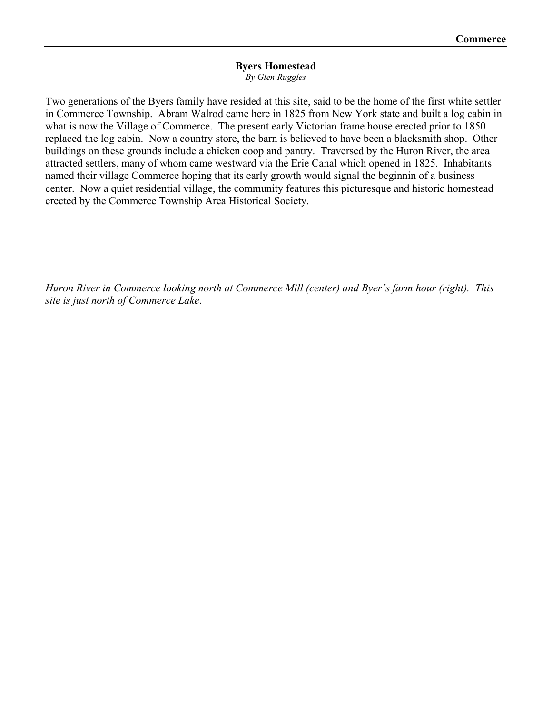#### **Byers Homestead**

*By Glen Ruggles* 

Two generations of the Byers family have resided at this site, said to be the home of the first white settler in Commerce Township. Abram Walrod came here in 1825 from New York state and built a log cabin in what is now the Village of Commerce. The present early Victorian frame house erected prior to 1850 replaced the log cabin. Now a country store, the barn is believed to have been a blacksmith shop. Other buildings on these grounds include a chicken coop and pantry. Traversed by the Huron River, the area attracted settlers, many of whom came westward via the Erie Canal which opened in 1825. Inhabitants named their village Commerce hoping that its early growth would signal the beginnin of a business center. Now a quiet residential village, the community features this picturesque and historic homestead erected by the Commerce Township Area Historical Society.

*Huron River in Commerce looking north at Commerce Mill (center) and Byer's farm hour (right). This site is just north of Commerce Lake*.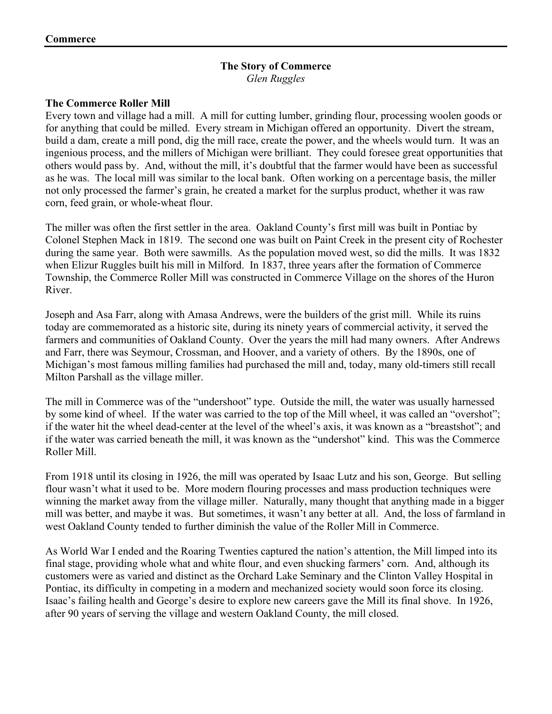## **The Story of Commerce**  *Glen Ruggles*

## **The Commerce Roller Mill**

Every town and village had a mill. A mill for cutting lumber, grinding flour, processing woolen goods or for anything that could be milled. Every stream in Michigan offered an opportunity. Divert the stream, build a dam, create a mill pond, dig the mill race, create the power, and the wheels would turn. It was an ingenious process, and the millers of Michigan were brilliant. They could foresee great opportunities that others would pass by. And, without the mill, it's doubtful that the farmer would have been as successful as he was. The local mill was similar to the local bank. Often working on a percentage basis, the miller not only processed the farmer's grain, he created a market for the surplus product, whether it was raw corn, feed grain, or whole-wheat flour.

The miller was often the first settler in the area. Oakland County's first mill was built in Pontiac by Colonel Stephen Mack in 1819. The second one was built on Paint Creek in the present city of Rochester during the same year. Both were sawmills. As the population moved west, so did the mills. It was 1832 when Elizur Ruggles built his mill in Milford. In 1837, three years after the formation of Commerce Township, the Commerce Roller Mill was constructed in Commerce Village on the shores of the Huron River.

Joseph and Asa Farr, along with Amasa Andrews, were the builders of the grist mill. While its ruins today are commemorated as a historic site, during its ninety years of commercial activity, it served the farmers and communities of Oakland County. Over the years the mill had many owners. After Andrews and Farr, there was Seymour, Crossman, and Hoover, and a variety of others. By the 1890s, one of Michigan's most famous milling families had purchased the mill and, today, many old-timers still recall Milton Parshall as the village miller.

The mill in Commerce was of the "undershoot" type. Outside the mill, the water was usually harnessed by some kind of wheel. If the water was carried to the top of the Mill wheel, it was called an "overshot"; if the water hit the wheel dead-center at the level of the wheel's axis, it was known as a "breastshot"; and if the water was carried beneath the mill, it was known as the "undershot" kind. This was the Commerce Roller Mill.

From 1918 until its closing in 1926, the mill was operated by Isaac Lutz and his son, George. But selling flour wasn't what it used to be. More modern flouring processes and mass production techniques were winning the market away from the village miller. Naturally, many thought that anything made in a bigger mill was better, and maybe it was. But sometimes, it wasn't any better at all. And, the loss of farmland in west Oakland County tended to further diminish the value of the Roller Mill in Commerce.

As World War I ended and the Roaring Twenties captured the nation's attention, the Mill limped into its final stage, providing whole what and white flour, and even shucking farmers' corn. And, although its customers were as varied and distinct as the Orchard Lake Seminary and the Clinton Valley Hospital in Pontiac, its difficulty in competing in a modern and mechanized society would soon force its closing. Isaac's failing health and George's desire to explore new careers gave the Mill its final shove. In 1926, after 90 years of serving the village and western Oakland County, the mill closed.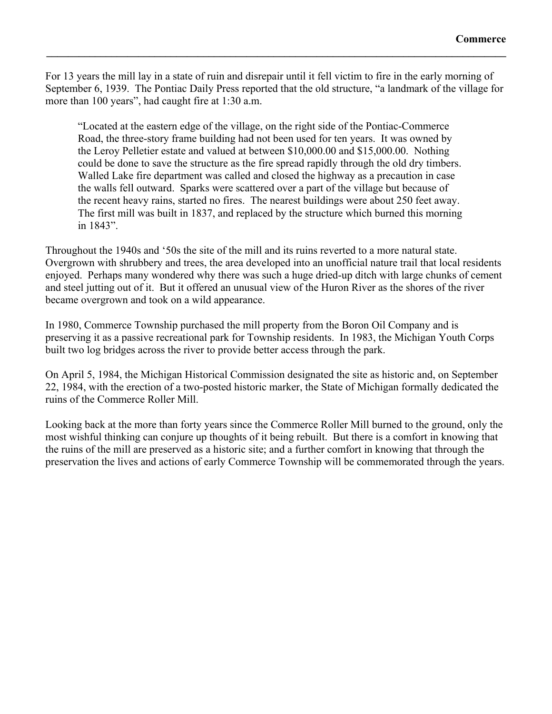For 13 years the mill lay in a state of ruin and disrepair until it fell victim to fire in the early morning of September 6, 1939. The Pontiac Daily Press reported that the old structure, "a landmark of the village for more than 100 years", had caught fire at 1:30 a.m.

 $\mathcal{L}_\mathcal{L} = \{ \mathcal{L}_\mathcal{L} = \{ \mathcal{L}_\mathcal{L} = \{ \mathcal{L}_\mathcal{L} = \{ \mathcal{L}_\mathcal{L} = \{ \mathcal{L}_\mathcal{L} = \{ \mathcal{L}_\mathcal{L} = \{ \mathcal{L}_\mathcal{L} = \{ \mathcal{L}_\mathcal{L} = \{ \mathcal{L}_\mathcal{L} = \{ \mathcal{L}_\mathcal{L} = \{ \mathcal{L}_\mathcal{L} = \{ \mathcal{L}_\mathcal{L} = \{ \mathcal{L}_\mathcal{L} = \{ \mathcal{L}_\mathcal{$ 

 "Located at the eastern edge of the village, on the right side of the Pontiac-Commerce Road, the three-story frame building had not been used for ten years. It was owned by the Leroy Pelletier estate and valued at between \$10,000.00 and \$15,000.00. Nothing could be done to save the structure as the fire spread rapidly through the old dry timbers. Walled Lake fire department was called and closed the highway as a precaution in case the walls fell outward. Sparks were scattered over a part of the village but because of the recent heavy rains, started no fires. The nearest buildings were about 250 feet away. The first mill was built in 1837, and replaced by the structure which burned this morning in 1843".

Throughout the 1940s and '50s the site of the mill and its ruins reverted to a more natural state. Overgrown with shrubbery and trees, the area developed into an unofficial nature trail that local residents enjoyed. Perhaps many wondered why there was such a huge dried-up ditch with large chunks of cement and steel jutting out of it. But it offered an unusual view of the Huron River as the shores of the river became overgrown and took on a wild appearance.

In 1980, Commerce Township purchased the mill property from the Boron Oil Company and is preserving it as a passive recreational park for Township residents. In 1983, the Michigan Youth Corps built two log bridges across the river to provide better access through the park.

On April 5, 1984, the Michigan Historical Commission designated the site as historic and, on September 22, 1984, with the erection of a two-posted historic marker, the State of Michigan formally dedicated the ruins of the Commerce Roller Mill.

Looking back at the more than forty years since the Commerce Roller Mill burned to the ground, only the most wishful thinking can conjure up thoughts of it being rebuilt. But there is a comfort in knowing that the ruins of the mill are preserved as a historic site; and a further comfort in knowing that through the preservation the lives and actions of early Commerce Township will be commemorated through the years.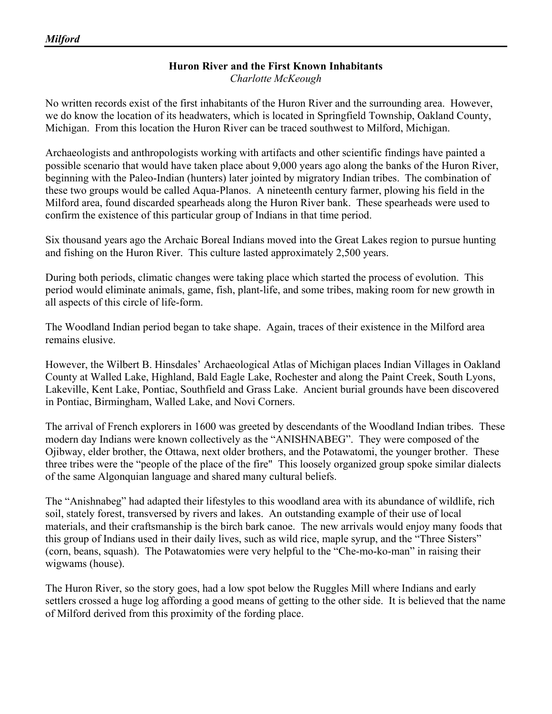# **Huron River and the First Known Inhabitants**

*Charlotte McKeough* 

No written records exist of the first inhabitants of the Huron River and the surrounding area. However, we do know the location of its headwaters, which is located in Springfield Township, Oakland County, Michigan. From this location the Huron River can be traced southwest to Milford, Michigan.

Archaeologists and anthropologists working with artifacts and other scientific findings have painted a possible scenario that would have taken place about 9,000 years ago along the banks of the Huron River, beginning with the Paleo-Indian (hunters) later jointed by migratory Indian tribes. The combination of these two groups would be called Aqua-Planos. A nineteenth century farmer, plowing his field in the Milford area, found discarded spearheads along the Huron River bank. These spearheads were used to confirm the existence of this particular group of Indians in that time period.

Six thousand years ago the Archaic Boreal Indians moved into the Great Lakes region to pursue hunting and fishing on the Huron River. This culture lasted approximately 2,500 years.

During both periods, climatic changes were taking place which started the process of evolution. This period would eliminate animals, game, fish, plant-life, and some tribes, making room for new growth in all aspects of this circle of life-form.

The Woodland Indian period began to take shape. Again, traces of their existence in the Milford area remains elusive.

However, the Wilbert B. Hinsdales' Archaeological Atlas of Michigan places Indian Villages in Oakland County at Walled Lake, Highland, Bald Eagle Lake, Rochester and along the Paint Creek, South Lyons, Lakeville, Kent Lake, Pontiac, Southfield and Grass Lake. Ancient burial grounds have been discovered in Pontiac, Birmingham, Walled Lake, and Novi Corners.

The arrival of French explorers in 1600 was greeted by descendants of the Woodland Indian tribes. These modern day Indians were known collectively as the "ANISHNABEG". They were composed of the Ojibway, elder brother, the Ottawa, next older brothers, and the Potawatomi, the younger brother. These three tribes were the "people of the place of the fire" This loosely organized group spoke similar dialects of the same Algonquian language and shared many cultural beliefs.

The "Anishnabeg" had adapted their lifestyles to this woodland area with its abundance of wildlife, rich soil, stately forest, transversed by rivers and lakes. An outstanding example of their use of local materials, and their craftsmanship is the birch bark canoe. The new arrivals would enjoy many foods that this group of Indians used in their daily lives, such as wild rice, maple syrup, and the "Three Sisters" (corn, beans, squash). The Potawatomies were very helpful to the "Che-mo-ko-man" in raising their wigwams (house).

The Huron River, so the story goes, had a low spot below the Ruggles Mill where Indians and early settlers crossed a huge log affording a good means of getting to the other side. It is believed that the name of Milford derived from this proximity of the fording place.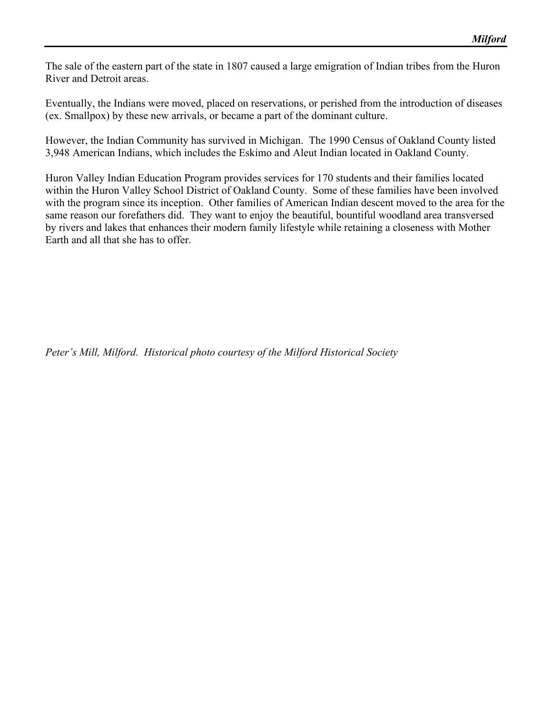The sale of the eastern part of the state in 1807 caused a large emigration of Indian tribes from the Huron River and Detroit areas.

Eventually, the Indians were moved, placed on reservations, or perished from the introduction of diseases (ex. Smallpox) by these new arrivals, or became a part of the dominant culture.

However, the Indian Community has survived in Michigan. The 1990 Census of Oakland County listed 3,948 American Indians, which includes the Eskimo and Aleut Indian located in Oakland County.

Huron Valley Indian Education Program provides services for 170 students and their families located within the Huron Valley School District of Oakland County. Some of these families have been involved with the program since its inception. Other families of American Indian descent moved to the area for the same reason our forefathers did. They want to enjoy the beautiful, bountiful woodland area transversed by rivers and lakes that enhances their modern family lifestyle while retaining a closeness with Mother Earth and all that she has to offer.

*Peter's Mill, Milford. Historical photo courtesy of the Milford Historical Society*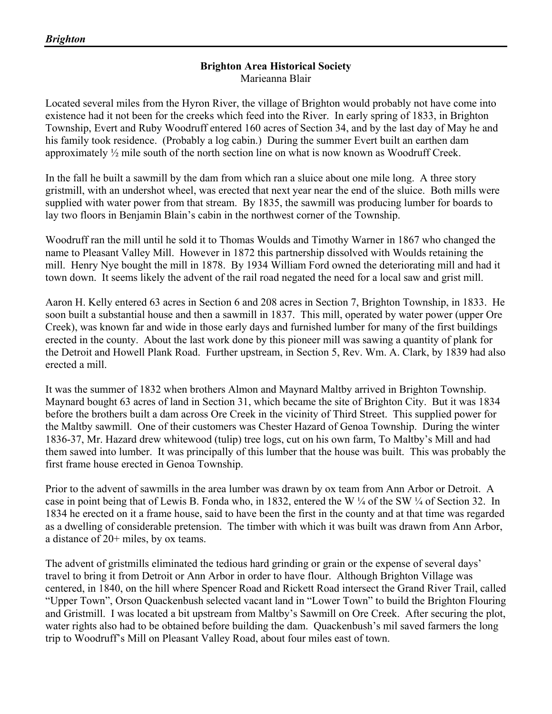## **Brighton Area Historical Society**  Marieanna Blair

Located several miles from the Hyron River, the village of Brighton would probably not have come into existence had it not been for the creeks which feed into the River. In early spring of 1833, in Brighton Township, Evert and Ruby Woodruff entered 160 acres of Section 34, and by the last day of May he and his family took residence. (Probably a log cabin.) During the summer Evert built an earthen dam approximately ½ mile south of the north section line on what is now known as Woodruff Creek.

In the fall he built a sawmill by the dam from which ran a sluice about one mile long. A three story gristmill, with an undershot wheel, was erected that next year near the end of the sluice. Both mills were supplied with water power from that stream. By 1835, the sawmill was producing lumber for boards to lay two floors in Benjamin Blain's cabin in the northwest corner of the Township.

Woodruff ran the mill until he sold it to Thomas Woulds and Timothy Warner in 1867 who changed the name to Pleasant Valley Mill. However in 1872 this partnership dissolved with Woulds retaining the mill. Henry Nye bought the mill in 1878. By 1934 William Ford owned the deteriorating mill and had it town down. It seems likely the advent of the rail road negated the need for a local saw and grist mill.

Aaron H. Kelly entered 63 acres in Section 6 and 208 acres in Section 7, Brighton Township, in 1833. He soon built a substantial house and then a sawmill in 1837. This mill, operated by water power (upper Ore Creek), was known far and wide in those early days and furnished lumber for many of the first buildings erected in the county. About the last work done by this pioneer mill was sawing a quantity of plank for the Detroit and Howell Plank Road. Further upstream, in Section 5, Rev. Wm. A. Clark, by 1839 had also erected a mill.

It was the summer of 1832 when brothers Almon and Maynard Maltby arrived in Brighton Township. Maynard bought 63 acres of land in Section 31, which became the site of Brighton City. But it was 1834 before the brothers built a dam across Ore Creek in the vicinity of Third Street. This supplied power for the Maltby sawmill. One of their customers was Chester Hazard of Genoa Township. During the winter 1836-37, Mr. Hazard drew whitewood (tulip) tree logs, cut on his own farm, To Maltby's Mill and had them sawed into lumber. It was principally of this lumber that the house was built. This was probably the first frame house erected in Genoa Township.

Prior to the advent of sawmills in the area lumber was drawn by ox team from Ann Arbor or Detroit. A case in point being that of Lewis B. Fonda who, in 1832, entered the W ¼ of the SW ¼ of Section 32. In 1834 he erected on it a frame house, said to have been the first in the county and at that time was regarded as a dwelling of considerable pretension. The timber with which it was built was drawn from Ann Arbor, a distance of 20+ miles, by ox teams.

The advent of gristmills eliminated the tedious hard grinding or grain or the expense of several days' travel to bring it from Detroit or Ann Arbor in order to have flour. Although Brighton Village was centered, in 1840, on the hill where Spencer Road and Rickett Road intersect the Grand River Trail, called "Upper Town", Orson Quackenbush selected vacant land in "Lower Town" to build the Brighton Flouring and Gristmill. I was located a bit upstream from Maltby's Sawmill on Ore Creek. After securing the plot, water rights also had to be obtained before building the dam. Quackenbush's mil saved farmers the long trip to Woodruff's Mill on Pleasant Valley Road, about four miles east of town.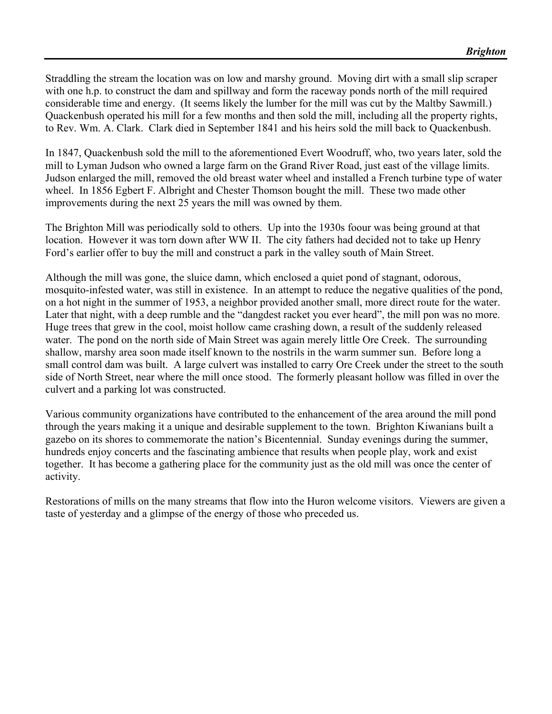Straddling the stream the location was on low and marshy ground. Moving dirt with a small slip scraper with one h.p. to construct the dam and spillway and form the raceway ponds north of the mill required considerable time and energy. (It seems likely the lumber for the mill was cut by the Maltby Sawmill.) Quackenbush operated his mill for a few months and then sold the mill, including all the property rights, to Rev. Wm. A. Clark. Clark died in September 1841 and his heirs sold the mill back to Quackenbush.

In 1847, Quackenbush sold the mill to the aforementioned Evert Woodruff, who, two years later, sold the mill to Lyman Judson who owned a large farm on the Grand River Road, just east of the village limits. Judson enlarged the mill, removed the old breast water wheel and installed a French turbine type of water wheel. In 1856 Egbert F. Albright and Chester Thomson bought the mill. These two made other improvements during the next 25 years the mill was owned by them.

The Brighton Mill was periodically sold to others. Up into the 1930s foour was being ground at that location. However it was torn down after WW II. The city fathers had decided not to take up Henry Ford's earlier offer to buy the mill and construct a park in the valley south of Main Street.

Although the mill was gone, the sluice damn, which enclosed a quiet pond of stagnant, odorous, mosquito-infested water, was still in existence. In an attempt to reduce the negative qualities of the pond, on a hot night in the summer of 1953, a neighbor provided another small, more direct route for the water. Later that night, with a deep rumble and the "dangdest racket you ever heard", the mill pon was no more. Huge trees that grew in the cool, moist hollow came crashing down, a result of the suddenly released water. The pond on the north side of Main Street was again merely little Ore Creek. The surrounding shallow, marshy area soon made itself known to the nostrils in the warm summer sun. Before long a small control dam was built. A large culvert was installed to carry Ore Creek under the street to the south side of North Street, near where the mill once stood. The formerly pleasant hollow was filled in over the culvert and a parking lot was constructed.

Various community organizations have contributed to the enhancement of the area around the mill pond through the years making it a unique and desirable supplement to the town. Brighton Kiwanians built a gazebo on its shores to commemorate the nation's Bicentennial. Sunday evenings during the summer, hundreds enjoy concerts and the fascinating ambience that results when people play, work and exist together. It has become a gathering place for the community just as the old mill was once the center of activity.

Restorations of mills on the many streams that flow into the Huron welcome visitors. Viewers are given a taste of yesterday and a glimpse of the energy of those who preceded us.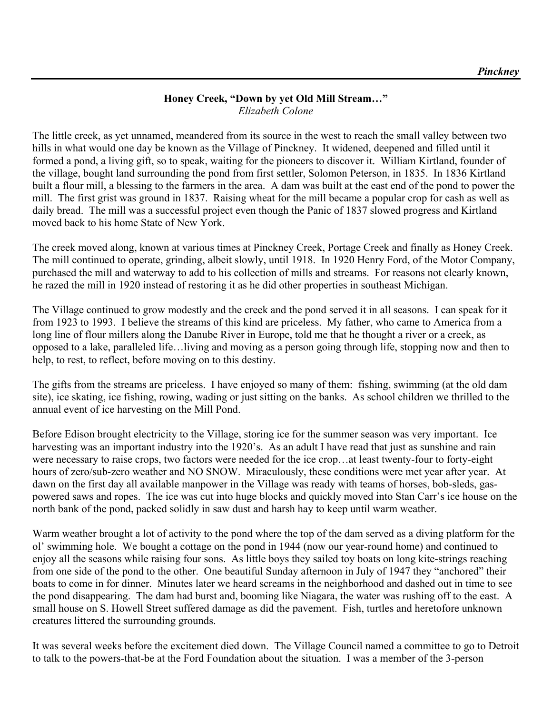## **Honey Creek, "Down by yet Old Mill Stream…"**  *Elizabeth Colone*

The little creek, as yet unnamed, meandered from its source in the west to reach the small valley between two hills in what would one day be known as the Village of Pinckney. It widened, deepened and filled until it formed a pond, a living gift, so to speak, waiting for the pioneers to discover it. William Kirtland, founder of the village, bought land surrounding the pond from first settler, Solomon Peterson, in 1835. In 1836 Kirtland built a flour mill, a blessing to the farmers in the area. A dam was built at the east end of the pond to power the mill. The first grist was ground in 1837. Raising wheat for the mill became a popular crop for cash as well as daily bread. The mill was a successful project even though the Panic of 1837 slowed progress and Kirtland moved back to his home State of New York.

The creek moved along, known at various times at Pinckney Creek, Portage Creek and finally as Honey Creek. The mill continued to operate, grinding, albeit slowly, until 1918. In 1920 Henry Ford, of the Motor Company, purchased the mill and waterway to add to his collection of mills and streams. For reasons not clearly known, he razed the mill in 1920 instead of restoring it as he did other properties in southeast Michigan.

The Village continued to grow modestly and the creek and the pond served it in all seasons. I can speak for it from 1923 to 1993. I believe the streams of this kind are priceless. My father, who came to America from a long line of flour millers along the Danube River in Europe, told me that he thought a river or a creek, as opposed to a lake, paralleled life…living and moving as a person going through life, stopping now and then to help, to rest, to reflect, before moving on to this destiny.

The gifts from the streams are priceless. I have enjoyed so many of them: fishing, swimming (at the old dam site), ice skating, ice fishing, rowing, wading or just sitting on the banks. As school children we thrilled to the annual event of ice harvesting on the Mill Pond.

Before Edison brought electricity to the Village, storing ice for the summer season was very important. Ice harvesting was an important industry into the 1920's. As an adult I have read that just as sunshine and rain were necessary to raise crops, two factors were needed for the ice crop…at least twenty-four to forty-eight hours of zero/sub-zero weather and NO SNOW. Miraculously, these conditions were met year after year. At dawn on the first day all available manpower in the Village was ready with teams of horses, bob-sleds, gaspowered saws and ropes. The ice was cut into huge blocks and quickly moved into Stan Carr's ice house on the north bank of the pond, packed solidly in saw dust and harsh hay to keep until warm weather.

Warm weather brought a lot of activity to the pond where the top of the dam served as a diving platform for the ol' swimming hole. We bought a cottage on the pond in 1944 (now our year-round home) and continued to enjoy all the seasons while raising four sons. As little boys they sailed toy boats on long kite-strings reaching from one side of the pond to the other. One beautiful Sunday afternoon in July of 1947 they "anchored" their boats to come in for dinner. Minutes later we heard screams in the neighborhood and dashed out in time to see the pond disappearing. The dam had burst and, booming like Niagara, the water was rushing off to the east. A small house on S. Howell Street suffered damage as did the pavement. Fish, turtles and heretofore unknown creatures littered the surrounding grounds.

It was several weeks before the excitement died down. The Village Council named a committee to go to Detroit to talk to the powers-that-be at the Ford Foundation about the situation. I was a member of the 3-person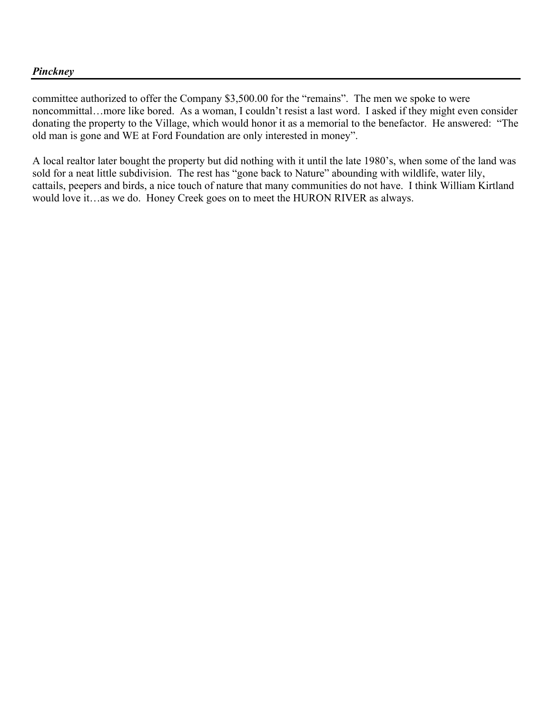### *Pinckney*

committee authorized to offer the Company \$3,500.00 for the "remains". The men we spoke to were noncommittal…more like bored. As a woman, I couldn't resist a last word. I asked if they might even consider donating the property to the Village, which would honor it as a memorial to the benefactor. He answered: "The old man is gone and WE at Ford Foundation are only interested in money".

A local realtor later bought the property but did nothing with it until the late 1980's, when some of the land was sold for a neat little subdivision. The rest has "gone back to Nature" abounding with wildlife, water lily, cattails, peepers and birds, a nice touch of nature that many communities do not have. I think William Kirtland would love it…as we do. Honey Creek goes on to meet the HURON RIVER as always.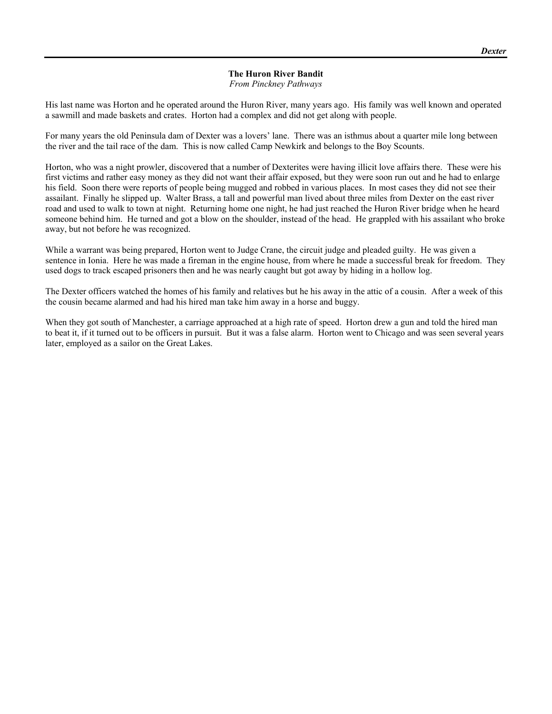# **The Huron River Bandit**

*From Pinckney Pathways* 

His last name was Horton and he operated around the Huron River, many years ago. His family was well known and operated a sawmill and made baskets and crates. Horton had a complex and did not get along with people.

For many years the old Peninsula dam of Dexter was a lovers' lane. There was an isthmus about a quarter mile long between the river and the tail race of the dam. This is now called Camp Newkirk and belongs to the Boy Scounts.

Horton, who was a night prowler, discovered that a number of Dexterites were having illicit love affairs there. These were his first victims and rather easy money as they did not want their affair exposed, but they were soon run out and he had to enlarge his field. Soon there were reports of people being mugged and robbed in various places. In most cases they did not see their assailant. Finally he slipped up. Walter Brass, a tall and powerful man lived about three miles from Dexter on the east river road and used to walk to town at night. Returning home one night, he had just reached the Huron River bridge when he heard someone behind him. He turned and got a blow on the shoulder, instead of the head. He grappled with his assailant who broke away, but not before he was recognized.

While a warrant was being prepared, Horton went to Judge Crane, the circuit judge and pleaded guilty. He was given a sentence in Ionia. Here he was made a fireman in the engine house, from where he made a successful break for freedom. They used dogs to track escaped prisoners then and he was nearly caught but got away by hiding in a hollow log.

The Dexter officers watched the homes of his family and relatives but he his away in the attic of a cousin. After a week of this the cousin became alarmed and had his hired man take him away in a horse and buggy.

When they got south of Manchester, a carriage approached at a high rate of speed. Horton drew a gun and told the hired man to beat it, if it turned out to be officers in pursuit. But it was a false alarm. Horton went to Chicago and was seen several years later, employed as a sailor on the Great Lakes.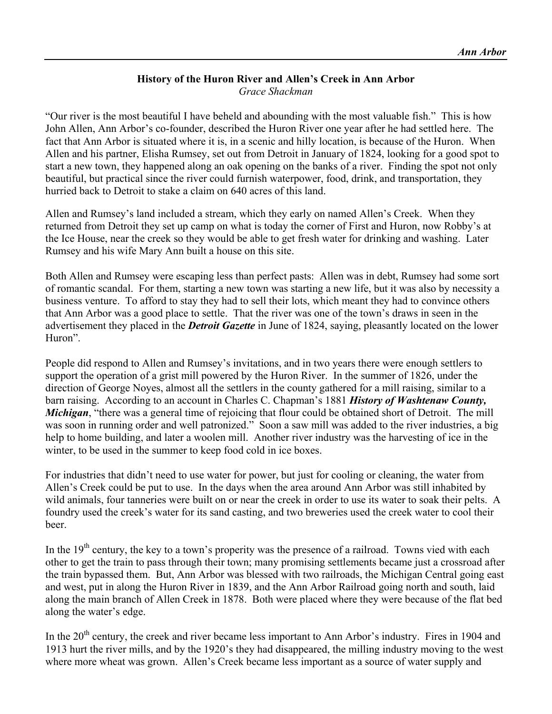# **History of the Huron River and Allen's Creek in Ann Arbor**  *Grace Shackman*

"Our river is the most beautiful I have beheld and abounding with the most valuable fish." This is how John Allen, Ann Arbor's co-founder, described the Huron River one year after he had settled here. The fact that Ann Arbor is situated where it is, in a scenic and hilly location, is because of the Huron. When Allen and his partner, Elisha Rumsey, set out from Detroit in January of 1824, looking for a good spot to start a new town, they happened along an oak opening on the banks of a river. Finding the spot not only beautiful, but practical since the river could furnish waterpower, food, drink, and transportation, they hurried back to Detroit to stake a claim on 640 acres of this land.

Allen and Rumsey's land included a stream, which they early on named Allen's Creek. When they returned from Detroit they set up camp on what is today the corner of First and Huron, now Robby's at the Ice House, near the creek so they would be able to get fresh water for drinking and washing. Later Rumsey and his wife Mary Ann built a house on this site.

Both Allen and Rumsey were escaping less than perfect pasts: Allen was in debt, Rumsey had some sort of romantic scandal. For them, starting a new town was starting a new life, but it was also by necessity a business venture. To afford to stay they had to sell their lots, which meant they had to convince others that Ann Arbor was a good place to settle. That the river was one of the town's draws in seen in the advertisement they placed in the *Detroit Gazette* in June of 1824, saying, pleasantly located on the lower Huron".

People did respond to Allen and Rumsey's invitations, and in two years there were enough settlers to support the operation of a grist mill powered by the Huron River. In the summer of 1826, under the direction of George Noyes, almost all the settlers in the county gathered for a mill raising, similar to a barn raising. According to an account in Charles C. Chapman's 1881 *History of Washtenaw County, Michigan*, "there was a general time of rejoicing that flour could be obtained short of Detroit. The mill was soon in running order and well patronized." Soon a saw mill was added to the river industries, a big help to home building, and later a woolen mill. Another river industry was the harvesting of ice in the winter, to be used in the summer to keep food cold in ice boxes.

For industries that didn't need to use water for power, but just for cooling or cleaning, the water from Allen's Creek could be put to use. In the days when the area around Ann Arbor was still inhabited by wild animals, four tanneries were built on or near the creek in order to use its water to soak their pelts. A foundry used the creek's water for its sand casting, and two breweries used the creek water to cool their beer.

In the 19<sup>th</sup> century, the key to a town's properity was the presence of a railroad. Towns vied with each other to get the train to pass through their town; many promising settlements became just a crossroad after the train bypassed them. But, Ann Arbor was blessed with two railroads, the Michigan Central going east and west, put in along the Huron River in 1839, and the Ann Arbor Railroad going north and south, laid along the main branch of Allen Creek in 1878. Both were placed where they were because of the flat bed along the water's edge.

In the 20<sup>th</sup> century, the creek and river became less important to Ann Arbor's industry. Fires in 1904 and 1913 hurt the river mills, and by the 1920's they had disappeared, the milling industry moving to the west where more wheat was grown. Allen's Creek became less important as a source of water supply and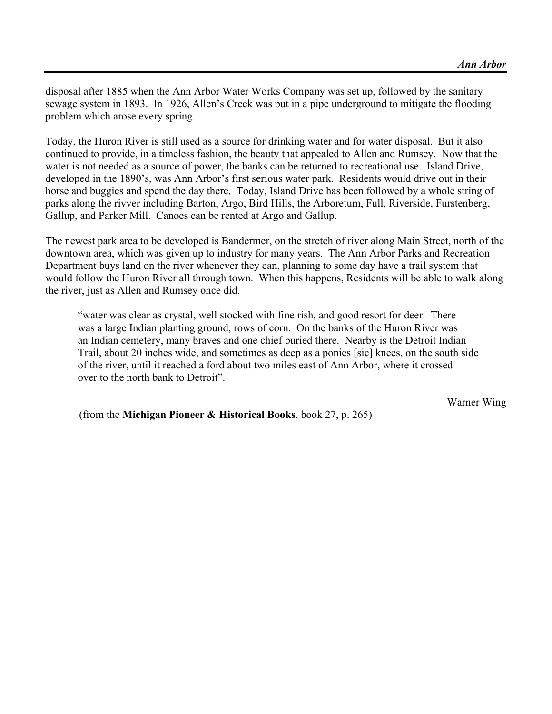disposal after 1885 when the Ann Arbor Water Works Company was set up, followed by the sanitary sewage system in 1893. In 1926, Allen's Creek was put in a pipe underground to mitigate the flooding problem which arose every spring.

Today, the Huron River is still used as a source for drinking water and for water disposal. But it also continued to provide, in a timeless fashion, the beauty that appealed to Allen and Rumsey. Now that the water is not needed as a source of power, the banks can be returned to recreational use. Island Drive, developed in the 1890's, was Ann Arbor's first serious water park. Residents would drive out in their horse and buggies and spend the day there. Today, Island Drive has been followed by a whole string of parks along the rivver including Barton, Argo, Bird Hills, the Arboretum, Full, Riverside, Furstenberg, Gallup, and Parker Mill. Canoes can be rented at Argo and Gallup.

The newest park area to be developed is Bandermer, on the stretch of river along Main Street, north of the downtown area, which was given up to industry for many years. The Ann Arbor Parks and Recreation Department buys land on the river whenever they can, planning to some day have a trail system that would follow the Huron River all through town. When this happens, Residents will be able to walk along the river, just as Allen and Rumsey once did.

 "water was clear as crystal, well stocked with fine rish, and good resort for deer. There was a large Indian planting ground, rows of corn. On the banks of the Huron River was an Indian cemetery, many braves and one chief buried there. Nearby is the Detroit Indian Trail, about 20 inches wide, and sometimes as deep as a ponies [sic] knees, on the south side of the river, until it reached a ford about two miles east of Ann Arbor, where it crossed over to the north bank to Detroit".

Warner Wing

(from the **Michigan Pioneer & Historical Books**, book 27, p. 265)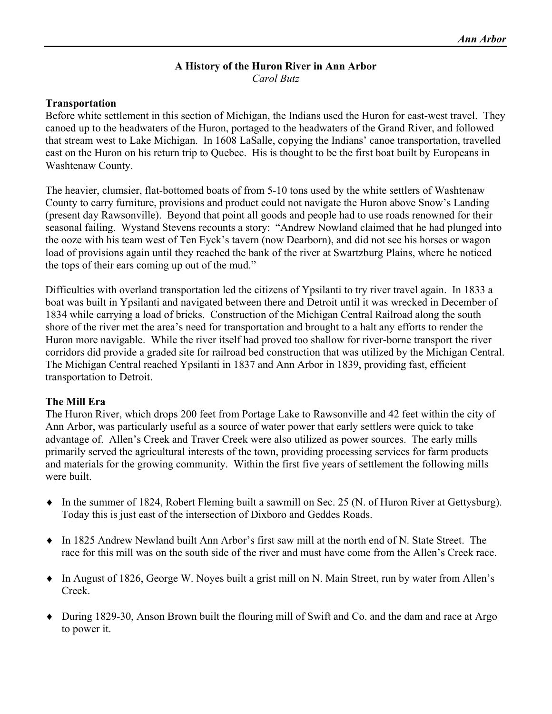### **A History of the Huron River in Ann Arbor**  *Carol Butz*

### **Transportation**

Before white settlement in this section of Michigan, the Indians used the Huron for east-west travel. They canoed up to the headwaters of the Huron, portaged to the headwaters of the Grand River, and followed that stream west to Lake Michigan. In 1608 LaSalle, copying the Indians' canoe transportation, travelled east on the Huron on his return trip to Quebec. His is thought to be the first boat built by Europeans in Washtenaw County.

The heavier, clumsier, flat-bottomed boats of from 5-10 tons used by the white settlers of Washtenaw County to carry furniture, provisions and product could not navigate the Huron above Snow's Landing (present day Rawsonville). Beyond that point all goods and people had to use roads renowned for their seasonal failing. Wystand Stevens recounts a story: "Andrew Nowland claimed that he had plunged into the ooze with his team west of Ten Eyck's tavern (now Dearborn), and did not see his horses or wagon load of provisions again until they reached the bank of the river at Swartzburg Plains, where he noticed the tops of their ears coming up out of the mud."

Difficulties with overland transportation led the citizens of Ypsilanti to try river travel again. In 1833 a boat was built in Ypsilanti and navigated between there and Detroit until it was wrecked in December of 1834 while carrying a load of bricks. Construction of the Michigan Central Railroad along the south shore of the river met the area's need for transportation and brought to a halt any efforts to render the Huron more navigable. While the river itself had proved too shallow for river-borne transport the river corridors did provide a graded site for railroad bed construction that was utilized by the Michigan Central. The Michigan Central reached Ypsilanti in 1837 and Ann Arbor in 1839, providing fast, efficient transportation to Detroit.

## **The Mill Era**

The Huron River, which drops 200 feet from Portage Lake to Rawsonville and 42 feet within the city of Ann Arbor, was particularly useful as a source of water power that early settlers were quick to take advantage of. Allen's Creek and Traver Creek were also utilized as power sources. The early mills primarily served the agricultural interests of the town, providing processing services for farm products and materials for the growing community. Within the first five years of settlement the following mills were built.

- ♦ In the summer of 1824, Robert Fleming built a sawmill on Sec. 25 (N. of Huron River at Gettysburg). Today this is just east of the intersection of Dixboro and Geddes Roads.
- ♦ In 1825 Andrew Newland built Ann Arbor's first saw mill at the north end of N. State Street. The race for this mill was on the south side of the river and must have come from the Allen's Creek race.
- ♦ In August of 1826, George W. Noyes built a grist mill on N. Main Street, run by water from Allen's Creek.
- ♦ During 1829-30, Anson Brown built the flouring mill of Swift and Co. and the dam and race at Argo to power it.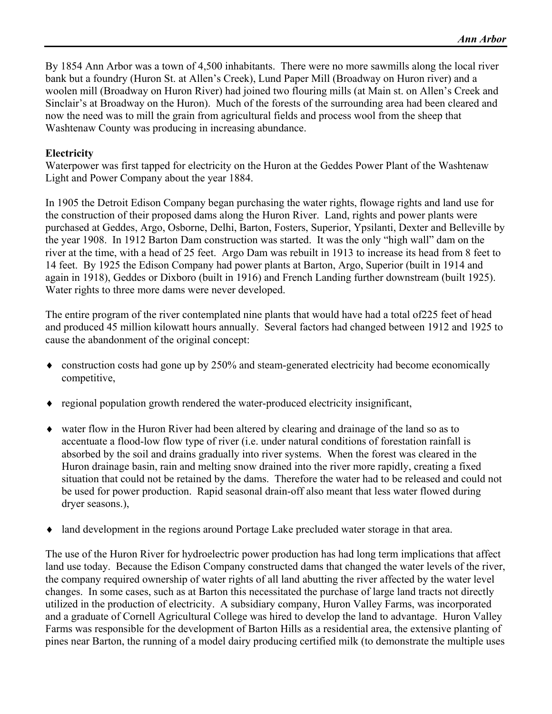By 1854 Ann Arbor was a town of 4,500 inhabitants. There were no more sawmills along the local river bank but a foundry (Huron St. at Allen's Creek), Lund Paper Mill (Broadway on Huron river) and a woolen mill (Broadway on Huron River) had joined two flouring mills (at Main st. on Allen's Creek and Sinclair's at Broadway on the Huron). Much of the forests of the surrounding area had been cleared and now the need was to mill the grain from agricultural fields and process wool from the sheep that Washtenaw County was producing in increasing abundance.

#### **Electricity**

Waterpower was first tapped for electricity on the Huron at the Geddes Power Plant of the Washtenaw Light and Power Company about the year 1884.

In 1905 the Detroit Edison Company began purchasing the water rights, flowage rights and land use for the construction of their proposed dams along the Huron River. Land, rights and power plants were purchased at Geddes, Argo, Osborne, Delhi, Barton, Fosters, Superior, Ypsilanti, Dexter and Belleville by the year 1908. In 1912 Barton Dam construction was started. It was the only "high wall" dam on the river at the time, with a head of 25 feet. Argo Dam was rebuilt in 1913 to increase its head from 8 feet to 14 feet. By 1925 the Edison Company had power plants at Barton, Argo, Superior (built in 1914 and again in 1918), Geddes or Dixboro (built in 1916) and French Landing further downstream (built 1925). Water rights to three more dams were never developed.

The entire program of the river contemplated nine plants that would have had a total of225 feet of head and produced 45 million kilowatt hours annually. Several factors had changed between 1912 and 1925 to cause the abandonment of the original concept:

- ♦ construction costs had gone up by 250% and steam-generated electricity had become economically competitive,
- ♦ regional population growth rendered the water-produced electricity insignificant,
- ♦ water flow in the Huron River had been altered by clearing and drainage of the land so as to accentuate a flood-low flow type of river (i.e. under natural conditions of forestation rainfall is absorbed by the soil and drains gradually into river systems. When the forest was cleared in the Huron drainage basin, rain and melting snow drained into the river more rapidly, creating a fixed situation that could not be retained by the dams. Therefore the water had to be released and could not be used for power production. Rapid seasonal drain-off also meant that less water flowed during dryer seasons.),
- land development in the regions around Portage Lake precluded water storage in that area.

The use of the Huron River for hydroelectric power production has had long term implications that affect land use today. Because the Edison Company constructed dams that changed the water levels of the river, the company required ownership of water rights of all land abutting the river affected by the water level changes. In some cases, such as at Barton this necessitated the purchase of large land tracts not directly utilized in the production of electricity. A subsidiary company, Huron Valley Farms, was incorporated and a graduate of Cornell Agricultural College was hired to develop the land to advantage. Huron Valley Farms was responsible for the development of Barton Hills as a residential area, the extensive planting of pines near Barton, the running of a model dairy producing certified milk (to demonstrate the multiple uses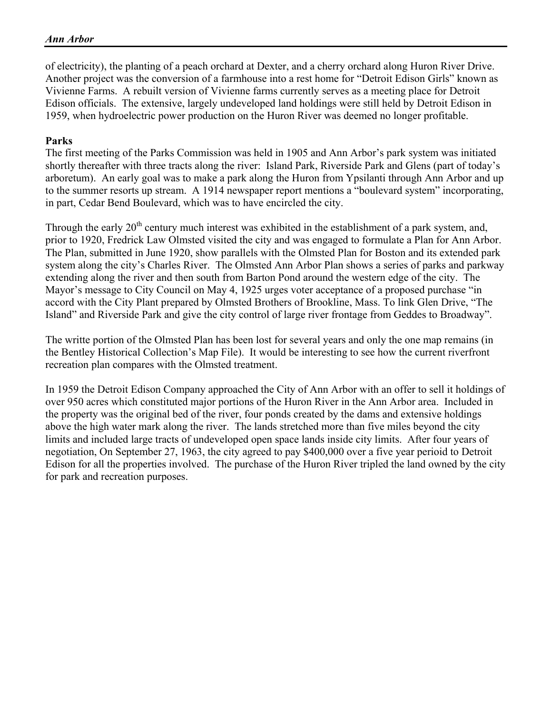of electricity), the planting of a peach orchard at Dexter, and a cherry orchard along Huron River Drive. Another project was the conversion of a farmhouse into a rest home for "Detroit Edison Girls" known as Vivienne Farms. A rebuilt version of Vivienne farms currently serves as a meeting place for Detroit Edison officials. The extensive, largely undeveloped land holdings were still held by Detroit Edison in 1959, when hydroelectric power production on the Huron River was deemed no longer profitable.

#### **Parks**

The first meeting of the Parks Commission was held in 1905 and Ann Arbor's park system was initiated shortly thereafter with three tracts along the river: Island Park, Riverside Park and Glens (part of today's arboretum). An early goal was to make a park along the Huron from Ypsilanti through Ann Arbor and up to the summer resorts up stream. A 1914 newspaper report mentions a "boulevard system" incorporating, in part, Cedar Bend Boulevard, which was to have encircled the city.

Through the early  $20<sup>th</sup>$  century much interest was exhibited in the establishment of a park system, and, prior to 1920, Fredrick Law Olmsted visited the city and was engaged to formulate a Plan for Ann Arbor. The Plan, submitted in June 1920, show parallels with the Olmsted Plan for Boston and its extended park system along the city's Charles River. The Olmsted Ann Arbor Plan shows a series of parks and parkway extending along the river and then south from Barton Pond around the western edge of the city. The Mayor's message to City Council on May 4, 1925 urges voter acceptance of a proposed purchase "in accord with the City Plant prepared by Olmsted Brothers of Brookline, Mass. To link Glen Drive, "The Island" and Riverside Park and give the city control of large river frontage from Geddes to Broadway".

The writte portion of the Olmsted Plan has been lost for several years and only the one map remains (in the Bentley Historical Collection's Map File). It would be interesting to see how the current riverfront recreation plan compares with the Olmsted treatment.

In 1959 the Detroit Edison Company approached the City of Ann Arbor with an offer to sell it holdings of over 950 acres which constituted major portions of the Huron River in the Ann Arbor area. Included in the property was the original bed of the river, four ponds created by the dams and extensive holdings above the high water mark along the river. The lands stretched more than five miles beyond the city limits and included large tracts of undeveloped open space lands inside city limits. After four years of negotiation, On September 27, 1963, the city agreed to pay \$400,000 over a five year perioid to Detroit Edison for all the properties involved. The purchase of the Huron River tripled the land owned by the city for park and recreation purposes.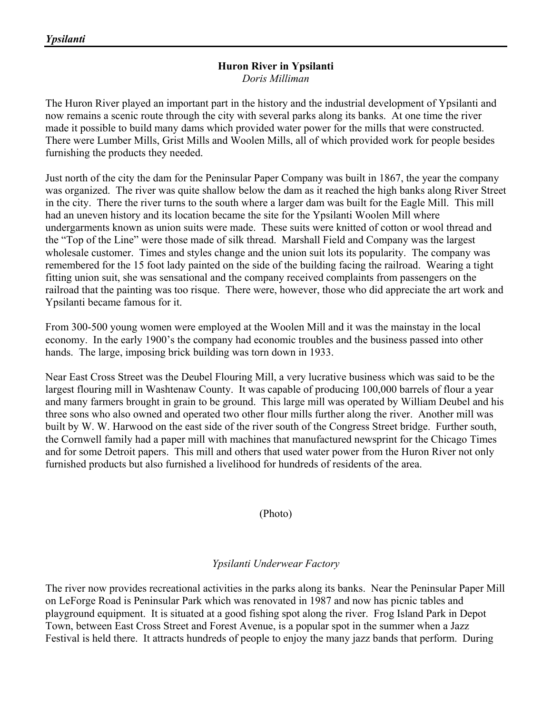#### **Huron River in Ypsilanti**  *Doris Milliman*

The Huron River played an important part in the history and the industrial development of Ypsilanti and now remains a scenic route through the city with several parks along its banks. At one time the river made it possible to build many dams which provided water power for the mills that were constructed. There were Lumber Mills, Grist Mills and Woolen Mills, all of which provided work for people besides furnishing the products they needed.

Just north of the city the dam for the Peninsular Paper Company was built in 1867, the year the company was organized. The river was quite shallow below the dam as it reached the high banks along River Street in the city. There the river turns to the south where a larger dam was built for the Eagle Mill. This mill had an uneven history and its location became the site for the Ypsilanti Woolen Mill where undergarments known as union suits were made. These suits were knitted of cotton or wool thread and the "Top of the Line" were those made of silk thread. Marshall Field and Company was the largest wholesale customer. Times and styles change and the union suit lots its popularity. The company was remembered for the 15 foot lady painted on the side of the building facing the railroad. Wearing a tight fitting union suit, she was sensational and the company received complaints from passengers on the railroad that the painting was too risque. There were, however, those who did appreciate the art work and Ypsilanti became famous for it.

From 300-500 young women were employed at the Woolen Mill and it was the mainstay in the local economy. In the early 1900's the company had economic troubles and the business passed into other hands. The large, imposing brick building was torn down in 1933.

Near East Cross Street was the Deubel Flouring Mill, a very lucrative business which was said to be the largest flouring mill in Washtenaw County. It was capable of producing 100,000 barrels of flour a year and many farmers brought in grain to be ground. This large mill was operated by William Deubel and his three sons who also owned and operated two other flour mills further along the river. Another mill was built by W. W. Harwood on the east side of the river south of the Congress Street bridge. Further south, the Cornwell family had a paper mill with machines that manufactured newsprint for the Chicago Times and for some Detroit papers. This mill and others that used water power from the Huron River not only furnished products but also furnished a livelihood for hundreds of residents of the area.

(Photo)

# *Ypsilanti Underwear Factory*

The river now provides recreational activities in the parks along its banks. Near the Peninsular Paper Mill on LeForge Road is Peninsular Park which was renovated in 1987 and now has picnic tables and playground equipment. It is situated at a good fishing spot along the river. Frog Island Park in Depot Town, between East Cross Street and Forest Avenue, is a popular spot in the summer when a Jazz Festival is held there. It attracts hundreds of people to enjoy the many jazz bands that perform. During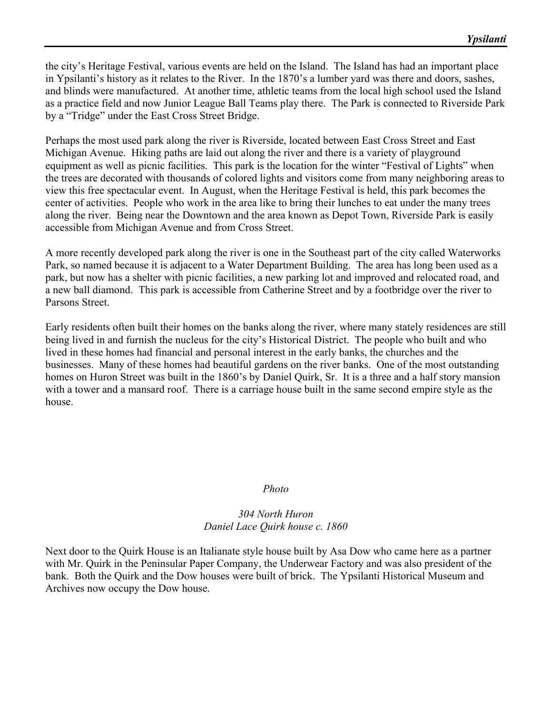the city's Heritage Festival, various events are held on the Island. The Island has had an important place in Ypsilanti's history as it relates to the River. In the 1870's a lumber yard was there and doors, sashes, and blinds were manufactured. At another time, athletic teams from the local high school used the Island as a practice field and now Junior League Ball Teams play there. The Park is connected to Riverside Park by a "Tridge" under the East Cross Street Bridge.

Perhaps the most used park along the river is Riverside, located between East Cross Street and East Michigan Avenue. Hiking paths are laid out along the river and there is a variety of playground equipment as well as picnic facilities. This park is the location for the winter "Festival of Lights" when the trees are decorated with thousands of colored lights and visitors come from many neighboring areas to view this free spectacular event. In August, when the Heritage Festival is held, this park becomes the center of activities. People who work in the area like to bring their lunches to eat under the many trees along the river. Being near the Downtown and the area known as Depot Town, Riverside Park is easily accessible from Michigan Avenue and from Cross Street.

A more recently developed park along the river is one in the Southeast part of the city called Waterworks Park, so named because it is adjacent to a Water Department Building. The area has long been used as a park, but now has a shelter with picnic facilities, a new parking lot and improved and relocated road, and a new ball diamond. This park is accessible from Catherine Street and by a footbridge over the river to Parsons Street.

Early residents often built their homes on the banks along the river, where many stately residences are still being lived in and furnish the nucleus for the city's Historical District. The people who built and who lived in these homes had financial and personal interest in the early banks, the churches and the businesses. Many of these homes had beautiful gardens on the river banks. One of the most outstanding homes on Huron Street was built in the 1860's by Daniel Quirk, Sr. It is a three and a half story mansion with a tower and a mansard roof. There is a carriage house built in the same second empire style as the house.

#### *Photo*

#### *304 North Huron Daniel Lace Quirk house c. 1860*

Next door to the Quirk House is an Italianate style house built by Asa Dow who came here as a partner with Mr. Quirk in the Peninsular Paper Company, the Underwear Factory and was also president of the bank. Both the Quirk and the Dow houses were built of brick. The Ypsilanti Historical Museum and Archives now occupy the Dow house.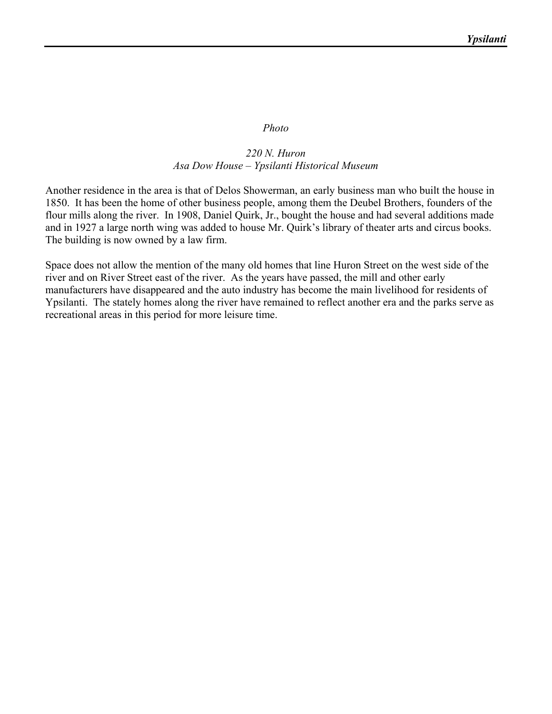#### *Photo*

#### *220 N. Huron Asa Dow House – Ypsilanti Historical Museum*

Another residence in the area is that of Delos Showerman, an early business man who built the house in 1850. It has been the home of other business people, among them the Deubel Brothers, founders of the flour mills along the river. In 1908, Daniel Quirk, Jr., bought the house and had several additions made and in 1927 a large north wing was added to house Mr. Quirk's library of theater arts and circus books. The building is now owned by a law firm.

Space does not allow the mention of the many old homes that line Huron Street on the west side of the river and on River Street east of the river. As the years have passed, the mill and other early manufacturers have disappeared and the auto industry has become the main livelihood for residents of Ypsilanti. The stately homes along the river have remained to reflect another era and the parks serve as recreational areas in this period for more leisure time.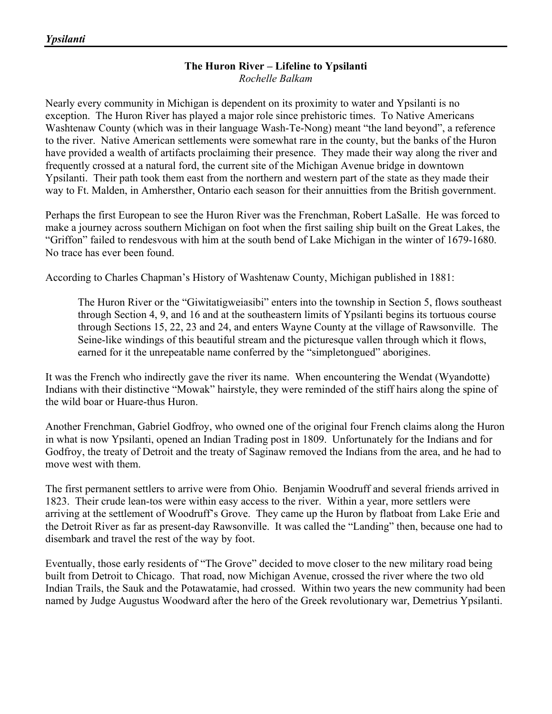#### **The Huron River – Lifeline to Ypsilanti**  *Rochelle Balkam*

Nearly every community in Michigan is dependent on its proximity to water and Ypsilanti is no exception. The Huron River has played a major role since prehistoric times. To Native Americans Washtenaw County (which was in their language Wash-Te-Nong) meant "the land beyond", a reference to the river. Native American settlements were somewhat rare in the county, but the banks of the Huron have provided a wealth of artifacts proclaiming their presence. They made their way along the river and frequently crossed at a natural ford, the current site of the Michigan Avenue bridge in downtown Ypsilanti. Their path took them east from the northern and western part of the state as they made their way to Ft. Malden, in Amhersther, Ontario each season for their annuitties from the British government.

Perhaps the first European to see the Huron River was the Frenchman, Robert LaSalle. He was forced to make a journey across southern Michigan on foot when the first sailing ship built on the Great Lakes, the "Griffon" failed to rendesvous with him at the south bend of Lake Michigan in the winter of 1679-1680. No trace has ever been found.

According to Charles Chapman's History of Washtenaw County, Michigan published in 1881:

The Huron River or the "Giwitatigweiasibi" enters into the township in Section 5, flows southeast through Section 4, 9, and 16 and at the southeastern limits of Ypsilanti begins its tortuous course through Sections 15, 22, 23 and 24, and enters Wayne County at the village of Rawsonville. The Seine-like windings of this beautiful stream and the picturesque vallen through which it flows, earned for it the unrepeatable name conferred by the "simpletongued" aborigines.

It was the French who indirectly gave the river its name. When encountering the Wendat (Wyandotte) Indians with their distinctive "Mowak" hairstyle, they were reminded of the stiff hairs along the spine of the wild boar or Huare-thus Huron.

Another Frenchman, Gabriel Godfroy, who owned one of the original four French claims along the Huron in what is now Ypsilanti, opened an Indian Trading post in 1809. Unfortunately for the Indians and for Godfroy, the treaty of Detroit and the treaty of Saginaw removed the Indians from the area, and he had to move west with them.

The first permanent settlers to arrive were from Ohio. Benjamin Woodruff and several friends arrived in 1823. Their crude lean-tos were within easy access to the river. Within a year, more settlers were arriving at the settlement of Woodruff's Grove. They came up the Huron by flatboat from Lake Erie and the Detroit River as far as present-day Rawsonville. It was called the "Landing" then, because one had to disembark and travel the rest of the way by foot.

Eventually, those early residents of "The Grove" decided to move closer to the new military road being built from Detroit to Chicago. That road, now Michigan Avenue, crossed the river where the two old Indian Trails, the Sauk and the Potawatamie, had crossed. Within two years the new community had been named by Judge Augustus Woodward after the hero of the Greek revolutionary war, Demetrius Ypsilanti.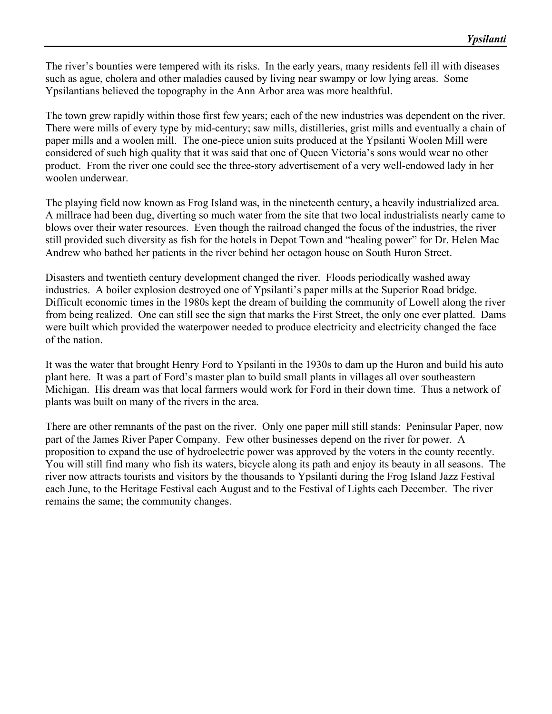The river's bounties were tempered with its risks. In the early years, many residents fell ill with diseases such as ague, cholera and other maladies caused by living near swampy or low lying areas. Some Ypsilantians believed the topography in the Ann Arbor area was more healthful.

The town grew rapidly within those first few years; each of the new industries was dependent on the river. There were mills of every type by mid-century; saw mills, distilleries, grist mills and eventually a chain of paper mills and a woolen mill. The one-piece union suits produced at the Ypsilanti Woolen Mill were considered of such high quality that it was said that one of Queen Victoria's sons would wear no other product. From the river one could see the three-story advertisement of a very well-endowed lady in her woolen underwear.

The playing field now known as Frog Island was, in the nineteenth century, a heavily industrialized area. A millrace had been dug, diverting so much water from the site that two local industrialists nearly came to blows over their water resources. Even though the railroad changed the focus of the industries, the river still provided such diversity as fish for the hotels in Depot Town and "healing power" for Dr. Helen Mac Andrew who bathed her patients in the river behind her octagon house on South Huron Street.

Disasters and twentieth century development changed the river. Floods periodically washed away industries. A boiler explosion destroyed one of Ypsilanti's paper mills at the Superior Road bridge. Difficult economic times in the 1980s kept the dream of building the community of Lowell along the river from being realized. One can still see the sign that marks the First Street, the only one ever platted. Dams were built which provided the waterpower needed to produce electricity and electricity changed the face of the nation.

It was the water that brought Henry Ford to Ypsilanti in the 1930s to dam up the Huron and build his auto plant here. It was a part of Ford's master plan to build small plants in villages all over southeastern Michigan. His dream was that local farmers would work for Ford in their down time. Thus a network of plants was built on many of the rivers in the area.

There are other remnants of the past on the river. Only one paper mill still stands: Peninsular Paper, now part of the James River Paper Company. Few other businesses depend on the river for power. A proposition to expand the use of hydroelectric power was approved by the voters in the county recently. You will still find many who fish its waters, bicycle along its path and enjoy its beauty in all seasons. The river now attracts tourists and visitors by the thousands to Ypsilanti during the Frog Island Jazz Festival each June, to the Heritage Festival each August and to the Festival of Lights each December. The river remains the same; the community changes.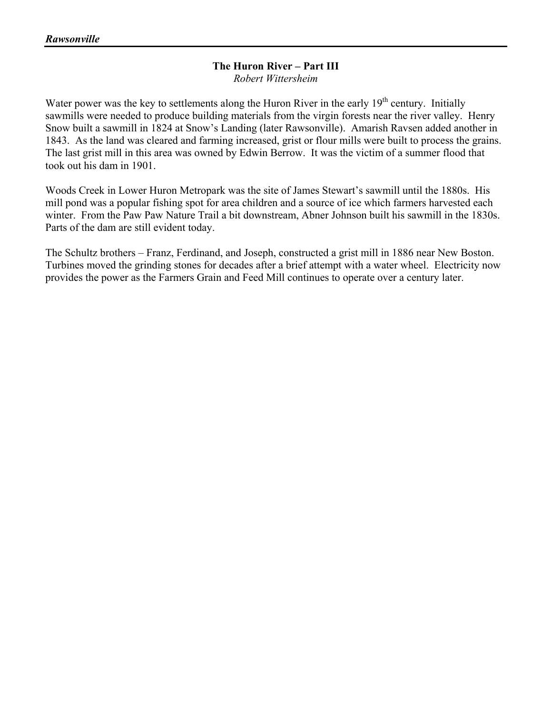#### **The Huron River – Part III**  *Robert Wittersheim*

Water power was the key to settlements along the Huron River in the early  $19<sup>th</sup>$  century. Initially sawmills were needed to produce building materials from the virgin forests near the river valley. Henry Snow built a sawmill in 1824 at Snow's Landing (later Rawsonville). Amarish Ravsen added another in 1843. As the land was cleared and farming increased, grist or flour mills were built to process the grains. The last grist mill in this area was owned by Edwin Berrow. It was the victim of a summer flood that took out his dam in 1901.

Woods Creek in Lower Huron Metropark was the site of James Stewart's sawmill until the 1880s. His mill pond was a popular fishing spot for area children and a source of ice which farmers harvested each winter. From the Paw Paw Nature Trail a bit downstream, Abner Johnson built his sawmill in the 1830s. Parts of the dam are still evident today.

The Schultz brothers – Franz, Ferdinand, and Joseph, constructed a grist mill in 1886 near New Boston. Turbines moved the grinding stones for decades after a brief attempt with a water wheel. Electricity now provides the power as the Farmers Grain and Feed Mill continues to operate over a century later.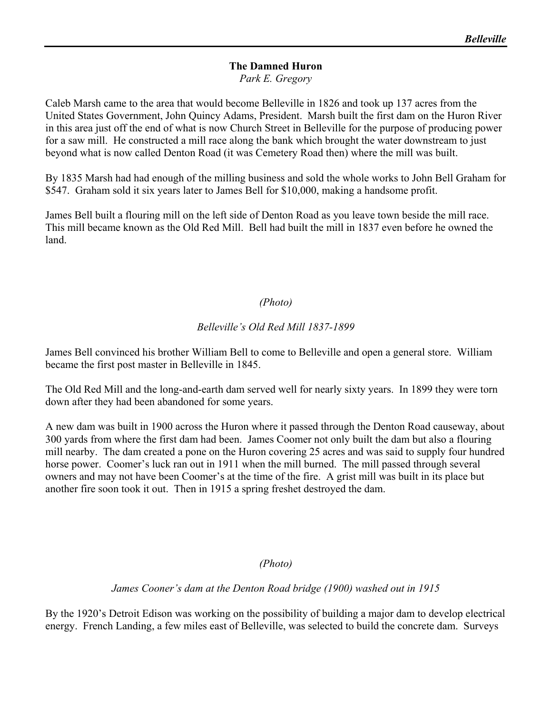### **The Damned Huron**  *Park E. Gregory*

Caleb Marsh came to the area that would become Belleville in 1826 and took up 137 acres from the United States Government, John Quincy Adams, President. Marsh built the first dam on the Huron River in this area just off the end of what is now Church Street in Belleville for the purpose of producing power for a saw mill. He constructed a mill race along the bank which brought the water downstream to just beyond what is now called Denton Road (it was Cemetery Road then) where the mill was built.

By 1835 Marsh had had enough of the milling business and sold the whole works to John Bell Graham for \$547. Graham sold it six years later to James Bell for \$10,000, making a handsome profit.

James Bell built a flouring mill on the left side of Denton Road as you leave town beside the mill race. This mill became known as the Old Red Mill. Bell had built the mill in 1837 even before he owned the land.

# *(Photo)*

# *Belleville's Old Red Mill 1837-1899*

James Bell convinced his brother William Bell to come to Belleville and open a general store. William became the first post master in Belleville in 1845.

The Old Red Mill and the long-and-earth dam served well for nearly sixty years. In 1899 they were torn down after they had been abandoned for some years.

A new dam was built in 1900 across the Huron where it passed through the Denton Road causeway, about 300 yards from where the first dam had been. James Coomer not only built the dam but also a flouring mill nearby. The dam created a pone on the Huron covering 25 acres and was said to supply four hundred horse power. Coomer's luck ran out in 1911 when the mill burned. The mill passed through several owners and may not have been Coomer's at the time of the fire. A grist mill was built in its place but another fire soon took it out. Then in 1915 a spring freshet destroyed the dam.

## *(Photo)*

## *James Cooner's dam at the Denton Road bridge (1900) washed out in 1915*

By the 1920's Detroit Edison was working on the possibility of building a major dam to develop electrical energy. French Landing, a few miles east of Belleville, was selected to build the concrete dam. Surveys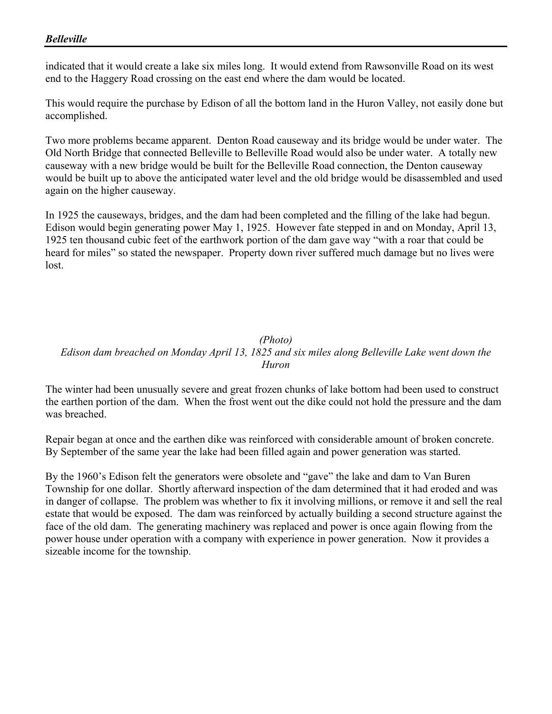## *Belleville*

indicated that it would create a lake six miles long. It would extend from Rawsonville Road on its west end to the Haggery Road crossing on the east end where the dam would be located.

This would require the purchase by Edison of all the bottom land in the Huron Valley, not easily done but accomplished.

Two more problems became apparent. Denton Road causeway and its bridge would be under water. The Old North Bridge that connected Belleville to Belleville Road would also be under water. A totally new causeway with a new bridge would be built for the Belleville Road connection, the Denton causeway would be built up to above the anticipated water level and the old bridge would be disassembled and used again on the higher causeway.

In 1925 the causeways, bridges, and the dam had been completed and the filling of the lake had begun. Edison would begin generating power May 1, 1925. However fate stepped in and on Monday, April 13, 1925 ten thousand cubic feet of the earthwork portion of the dam gave way "with a roar that could be heard for miles" so stated the newspaper. Property down river suffered much damage but no lives were lost.

#### *(Photo) Edison dam breached on Monday April 13, 1825 and six miles along Belleville Lake went down the Huron*

The winter had been unusually severe and great frozen chunks of lake bottom had been used to construct the earthen portion of the dam. When the frost went out the dike could not hold the pressure and the dam was breached.

Repair began at once and the earthen dike was reinforced with considerable amount of broken concrete. By September of the same year the lake had been filled again and power generation was started.

By the 1960's Edison felt the generators were obsolete and "gave" the lake and dam to Van Buren Township for one dollar. Shortly afterward inspection of the dam determined that it had eroded and was in danger of collapse. The problem was whether to fix it involving millions, or remove it and sell the real estate that would be exposed. The dam was reinforced by actually building a second structure against the face of the old dam. The generating machinery was replaced and power is once again flowing from the power house under operation with a company with experience in power generation. Now it provides a sizeable income for the township.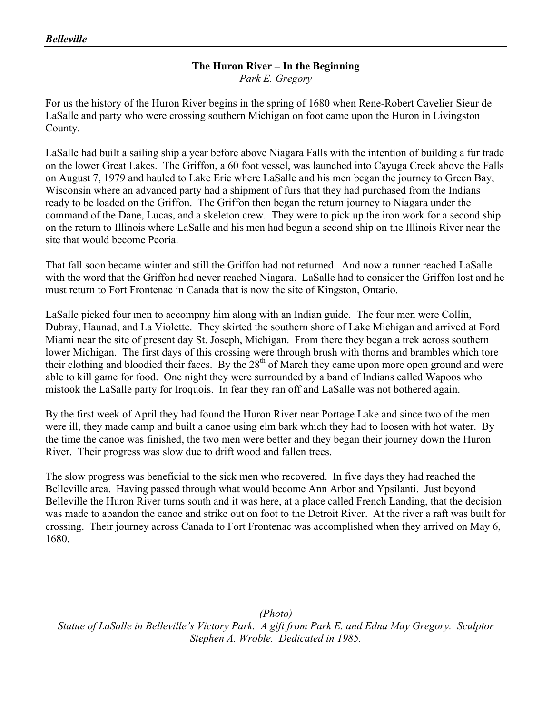# **The Huron River – In the Beginning**

*Park E. Gregory* 

For us the history of the Huron River begins in the spring of 1680 when Rene-Robert Cavelier Sieur de LaSalle and party who were crossing southern Michigan on foot came upon the Huron in Livingston County.

LaSalle had built a sailing ship a year before above Niagara Falls with the intention of building a fur trade on the lower Great Lakes. The Griffon, a 60 foot vessel, was launched into Cayuga Creek above the Falls on August 7, 1979 and hauled to Lake Erie where LaSalle and his men began the journey to Green Bay, Wisconsin where an advanced party had a shipment of furs that they had purchased from the Indians ready to be loaded on the Griffon. The Griffon then began the return journey to Niagara under the command of the Dane, Lucas, and a skeleton crew. They were to pick up the iron work for a second ship on the return to Illinois where LaSalle and his men had begun a second ship on the Illinois River near the site that would become Peoria.

That fall soon became winter and still the Griffon had not returned. And now a runner reached LaSalle with the word that the Griffon had never reached Niagara. LaSalle had to consider the Griffon lost and he must return to Fort Frontenac in Canada that is now the site of Kingston, Ontario.

LaSalle picked four men to accompny him along with an Indian guide. The four men were Collin, Dubray, Haunad, and La Violette. They skirted the southern shore of Lake Michigan and arrived at Ford Miami near the site of present day St. Joseph, Michigan. From there they began a trek across southern lower Michigan. The first days of this crossing were through brush with thorns and brambles which tore their clothing and bloodied their faces. By the 28<sup>th</sup> of March they came upon more open ground and were able to kill game for food. One night they were surrounded by a band of Indians called Wapoos who mistook the LaSalle party for Iroquois. In fear they ran off and LaSalle was not bothered again.

By the first week of April they had found the Huron River near Portage Lake and since two of the men were ill, they made camp and built a canoe using elm bark which they had to loosen with hot water. By the time the canoe was finished, the two men were better and they began their journey down the Huron River. Their progress was slow due to drift wood and fallen trees.

The slow progress was beneficial to the sick men who recovered. In five days they had reached the Belleville area. Having passed through what would become Ann Arbor and Ypsilanti. Just beyond Belleville the Huron River turns south and it was here, at a place called French Landing, that the decision was made to abandon the canoe and strike out on foot to the Detroit River. At the river a raft was built for crossing. Their journey across Canada to Fort Frontenac was accomplished when they arrived on May 6, 1680.

*(Photo) Statue of LaSalle in Belleville's Victory Park. A gift from Park E. and Edna May Gregory. Sculptor Stephen A. Wroble. Dedicated in 1985.*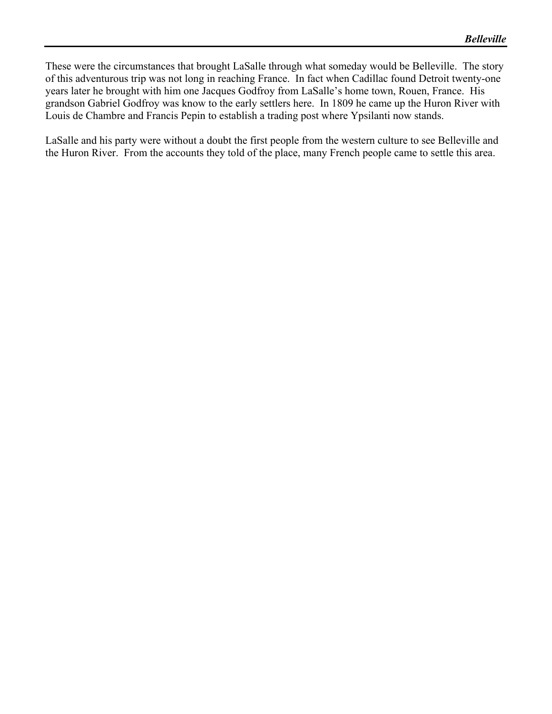These were the circumstances that brought LaSalle through what someday would be Belleville. The story of this adventurous trip was not long in reaching France. In fact when Cadillac found Detroit twenty-one years later he brought with him one Jacques Godfroy from LaSalle's home town, Rouen, France. His grandson Gabriel Godfroy was know to the early settlers here. In 1809 he came up the Huron River with Louis de Chambre and Francis Pepin to establish a trading post where Ypsilanti now stands.

LaSalle and his party were without a doubt the first people from the western culture to see Belleville and the Huron River. From the accounts they told of the place, many French people came to settle this area.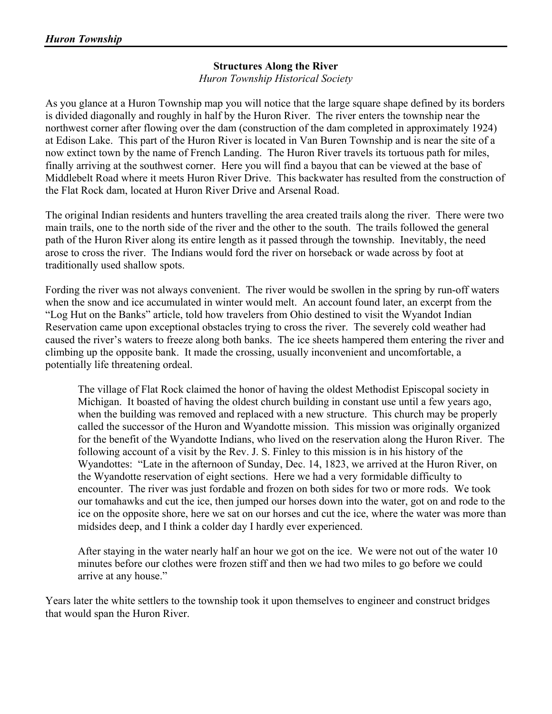# **Structures Along the River**

*Huron Township Historical Society* 

As you glance at a Huron Township map you will notice that the large square shape defined by its borders is divided diagonally and roughly in half by the Huron River. The river enters the township near the northwest corner after flowing over the dam (construction of the dam completed in approximately 1924) at Edison Lake. This part of the Huron River is located in Van Buren Township and is near the site of a now extinct town by the name of French Landing. The Huron River travels its tortuous path for miles, finally arriving at the southwest corner. Here you will find a bayou that can be viewed at the base of Middlebelt Road where it meets Huron River Drive. This backwater has resulted from the construction of the Flat Rock dam, located at Huron River Drive and Arsenal Road.

The original Indian residents and hunters travelling the area created trails along the river. There were two main trails, one to the north side of the river and the other to the south. The trails followed the general path of the Huron River along its entire length as it passed through the township. Inevitably, the need arose to cross the river. The Indians would ford the river on horseback or wade across by foot at traditionally used shallow spots.

Fording the river was not always convenient. The river would be swollen in the spring by run-off waters when the snow and ice accumulated in winter would melt. An account found later, an excerpt from the "Log Hut on the Banks" article, told how travelers from Ohio destined to visit the Wyandot Indian Reservation came upon exceptional obstacles trying to cross the river. The severely cold weather had caused the river's waters to freeze along both banks. The ice sheets hampered them entering the river and climbing up the opposite bank. It made the crossing, usually inconvenient and uncomfortable, a potentially life threatening ordeal.

The village of Flat Rock claimed the honor of having the oldest Methodist Episcopal society in Michigan. It boasted of having the oldest church building in constant use until a few years ago, when the building was removed and replaced with a new structure. This church may be properly called the successor of the Huron and Wyandotte mission. This mission was originally organized for the benefit of the Wyandotte Indians, who lived on the reservation along the Huron River. The following account of a visit by the Rev. J. S. Finley to this mission is in his history of the Wyandottes: "Late in the afternoon of Sunday, Dec. 14, 1823, we arrived at the Huron River, on the Wyandotte reservation of eight sections. Here we had a very formidable difficulty to encounter. The river was just fordable and frozen on both sides for two or more rods. We took our tomahawks and cut the ice, then jumped our horses down into the water, got on and rode to the ice on the opposite shore, here we sat on our horses and cut the ice, where the water was more than midsides deep, and I think a colder day I hardly ever experienced.

After staying in the water nearly half an hour we got on the ice. We were not out of the water 10 minutes before our clothes were frozen stiff and then we had two miles to go before we could arrive at any house."

Years later the white settlers to the township took it upon themselves to engineer and construct bridges that would span the Huron River.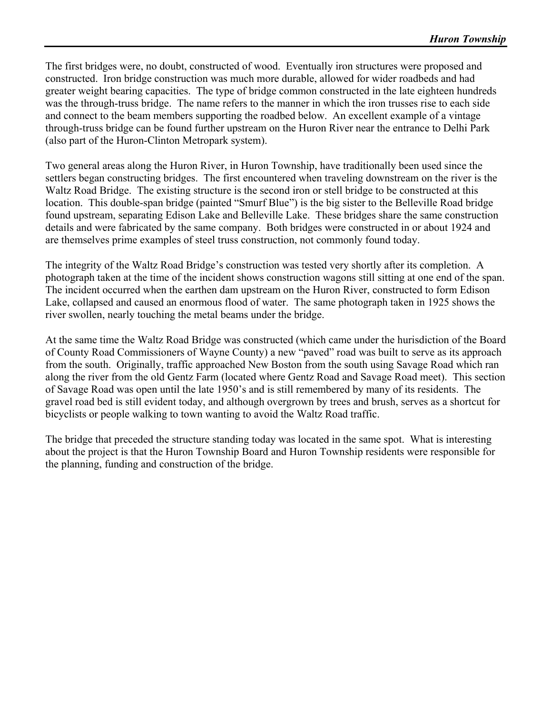The first bridges were, no doubt, constructed of wood. Eventually iron structures were proposed and constructed. Iron bridge construction was much more durable, allowed for wider roadbeds and had greater weight bearing capacities. The type of bridge common constructed in the late eighteen hundreds was the through-truss bridge. The name refers to the manner in which the iron trusses rise to each side and connect to the beam members supporting the roadbed below. An excellent example of a vintage through-truss bridge can be found further upstream on the Huron River near the entrance to Delhi Park (also part of the Huron-Clinton Metropark system).

Two general areas along the Huron River, in Huron Township, have traditionally been used since the settlers began constructing bridges. The first encountered when traveling downstream on the river is the Waltz Road Bridge. The existing structure is the second iron or stell bridge to be constructed at this location. This double-span bridge (painted "Smurf Blue") is the big sister to the Belleville Road bridge found upstream, separating Edison Lake and Belleville Lake. These bridges share the same construction details and were fabricated by the same company. Both bridges were constructed in or about 1924 and are themselves prime examples of steel truss construction, not commonly found today.

The integrity of the Waltz Road Bridge's construction was tested very shortly after its completion. A photograph taken at the time of the incident shows construction wagons still sitting at one end of the span. The incident occurred when the earthen dam upstream on the Huron River, constructed to form Edison Lake, collapsed and caused an enormous flood of water. The same photograph taken in 1925 shows the river swollen, nearly touching the metal beams under the bridge.

At the same time the Waltz Road Bridge was constructed (which came under the hurisdiction of the Board of County Road Commissioners of Wayne County) a new "paved" road was built to serve as its approach from the south. Originally, traffic approached New Boston from the south using Savage Road which ran along the river from the old Gentz Farm (located where Gentz Road and Savage Road meet). This section of Savage Road was open until the late 1950's and is still remembered by many of its residents. The gravel road bed is still evident today, and although overgrown by trees and brush, serves as a shortcut for bicyclists or people walking to town wanting to avoid the Waltz Road traffic.

The bridge that preceded the structure standing today was located in the same spot. What is interesting about the project is that the Huron Township Board and Huron Township residents were responsible for the planning, funding and construction of the bridge.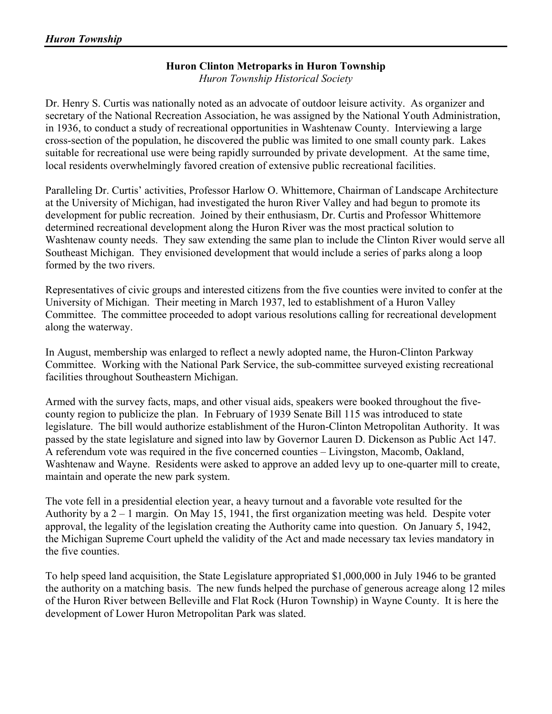# **Huron Clinton Metroparks in Huron Township**

*Huron Township Historical Society* 

Dr. Henry S. Curtis was nationally noted as an advocate of outdoor leisure activity. As organizer and secretary of the National Recreation Association, he was assigned by the National Youth Administration, in 1936, to conduct a study of recreational opportunities in Washtenaw County. Interviewing a large cross-section of the population, he discovered the public was limited to one small county park. Lakes suitable for recreational use were being rapidly surrounded by private development. At the same time, local residents overwhelmingly favored creation of extensive public recreational facilities.

Paralleling Dr. Curtis' activities, Professor Harlow O. Whittemore, Chairman of Landscape Architecture at the University of Michigan, had investigated the huron River Valley and had begun to promote its development for public recreation. Joined by their enthusiasm, Dr. Curtis and Professor Whittemore determined recreational development along the Huron River was the most practical solution to Washtenaw county needs. They saw extending the same plan to include the Clinton River would serve all Southeast Michigan. They envisioned development that would include a series of parks along a loop formed by the two rivers.

Representatives of civic groups and interested citizens from the five counties were invited to confer at the University of Michigan. Their meeting in March 1937, led to establishment of a Huron Valley Committee. The committee proceeded to adopt various resolutions calling for recreational development along the waterway.

In August, membership was enlarged to reflect a newly adopted name, the Huron-Clinton Parkway Committee. Working with the National Park Service, the sub-committee surveyed existing recreational facilities throughout Southeastern Michigan.

Armed with the survey facts, maps, and other visual aids, speakers were booked throughout the fivecounty region to publicize the plan. In February of 1939 Senate Bill 115 was introduced to state legislature. The bill would authorize establishment of the Huron-Clinton Metropolitan Authority. It was passed by the state legislature and signed into law by Governor Lauren D. Dickenson as Public Act 147. A referendum vote was required in the five concerned counties – Livingston, Macomb, Oakland, Washtenaw and Wayne. Residents were asked to approve an added levy up to one-quarter mill to create, maintain and operate the new park system.

The vote fell in a presidential election year, a heavy turnout and a favorable vote resulted for the Authority by a 2 – 1 margin. On May 15, 1941, the first organization meeting was held. Despite voter approval, the legality of the legislation creating the Authority came into question. On January 5, 1942, the Michigan Supreme Court upheld the validity of the Act and made necessary tax levies mandatory in the five counties.

To help speed land acquisition, the State Legislature appropriated \$1,000,000 in July 1946 to be granted the authority on a matching basis. The new funds helped the purchase of generous acreage along 12 miles of the Huron River between Belleville and Flat Rock (Huron Township) in Wayne County. It is here the development of Lower Huron Metropolitan Park was slated.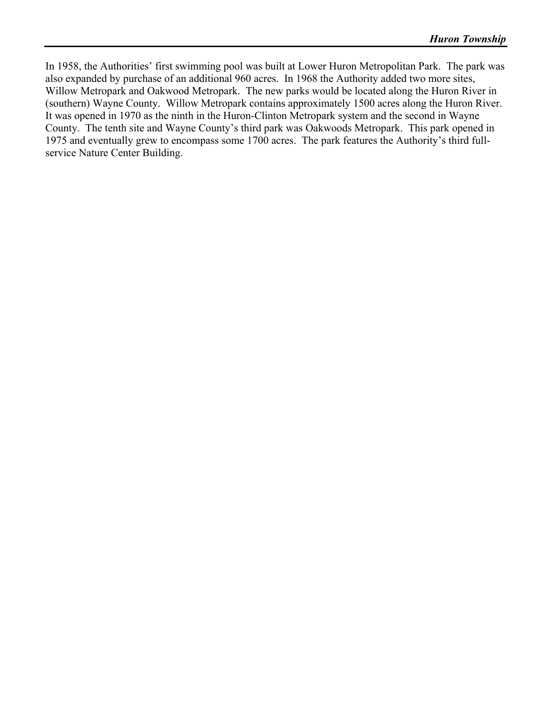In 1958, the Authorities' first swimming pool was built at Lower Huron Metropolitan Park. The park was also expanded by purchase of an additional 960 acres. In 1968 the Authority added two more sites, Willow Metropark and Oakwood Metropark. The new parks would be located along the Huron River in (southern) Wayne County. Willow Metropark contains approximately 1500 acres along the Huron River. It was opened in 1970 as the ninth in the Huron-Clinton Metropark system and the second in Wayne County. The tenth site and Wayne County's third park was Oakwoods Metropark. This park opened in 1975 and eventually grew to encompass some 1700 acres. The park features the Authority's third fullservice Nature Center Building.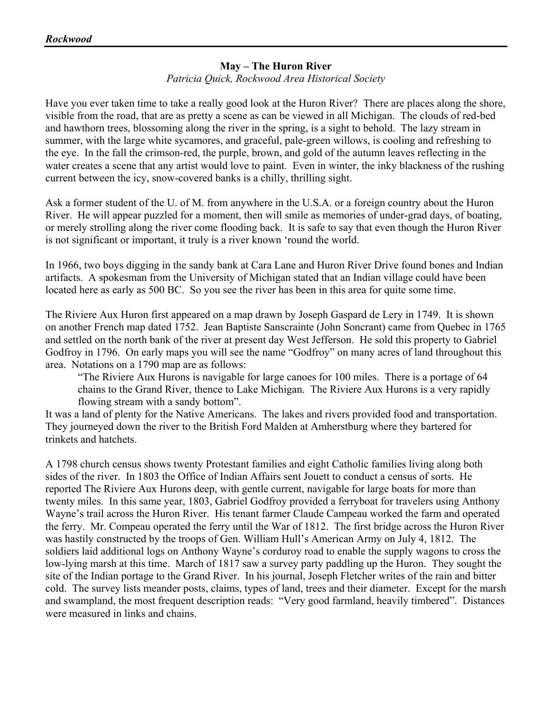# **May – The Huron River**

*Patricia Quick, Rockwood Area Historical Society* 

Have you ever taken time to take a really good look at the Huron River? There are places along the shore, visible from the road, that are as pretty a scene as can be viewed in all Michigan. The clouds of red-bed and hawthorn trees, blossoming along the river in the spring, is a sight to behold. The lazy stream in summer, with the large white sycamores, and graceful, pale-green willows, is cooling and refreshing to the eye. In the fall the crimson-red, the purple, brown, and gold of the autumn leaves reflecting in the water creates a scene that any artist would love to paint. Even in winter, the inky blackness of the rushing current between the icy, snow-covered banks is a chilly, thrilling sight.

Ask a former student of the U. of M. from anywhere in the U.S.A. or a foreign country about the Huron River. He will appear puzzled for a moment, then will smile as memories of under-grad days, of boating, or merely strolling along the river come flooding back. It is safe to say that even though the Huron River is not significant or important, it truly is a river known 'round the world.

In 1966, two boys digging in the sandy bank at Cara Lane and Huron River Drive found bones and Indian artifacts. A spokesman from the University of Michigan stated that an Indian village could have been located here as early as 500 BC. So you see the river has been in this area for quite some time.

The Riviere Aux Huron first appeared on a map drawn by Joseph Gaspard de Lery in 1749. It is shown on another French map dated 1752. Jean Baptiste Sanscrainte (John Soncrant) came from Quebec in 1765 and settled on the north bank of the river at present day West Jefferson. He sold this property to Gabriel Godfroy in 1796. On early maps you will see the name "Godfroy" on many acres of land throughout this area. Notations on a 1790 map are as follows:

"The Riviere Aux Hurons is navigable for large canoes for 100 miles. There is a portage of 64 chains to the Grand River, thence to Lake Michigan. The Riviere Aux Hurons is a very rapidly flowing stream with a sandy bottom".

It was a land of plenty for the Native Americans. The lakes and rivers provided food and transportation. They journeyed down the river to the British Ford Malden at Amherstburg where they bartered for trinkets and hatchets.

A 1798 church census shows twenty Protestant families and eight Catholic families living along both sides of the river. In 1803 the Office of Indian Affairs sent Jouett to conduct a census of sorts. He reported The Riviere Aux Hurons deep, with gentle current, navigable for large boats for more than twenty miles. In this same year, 1803, Gabriel Godfroy provided a ferryboat for travelers using Anthony Wayne's trail across the Huron River. His tenant farmer Claude Campeau worked the farm and operated the ferry. Mr. Compeau operated the ferry until the War of 1812. The first bridge across the Huron River was hastily constructed by the troops of Gen. William Hull's American Army on July 4, 1812. The soldiers laid additional logs on Anthony Wayne's corduroy road to enable the supply wagons to cross the low-lying marsh at this time. March of 1817 saw a survey party paddling up the Huron. They sought the site of the Indian portage to the Grand River. In his journal, Joseph Fletcher writes of the rain and bitter cold. The survey lists meander posts, claims, types of land, trees and their diameter. Except for the marsh and swampland, the most frequent description reads: "Very good farmland, heavily timbered". Distances were measured in links and chains.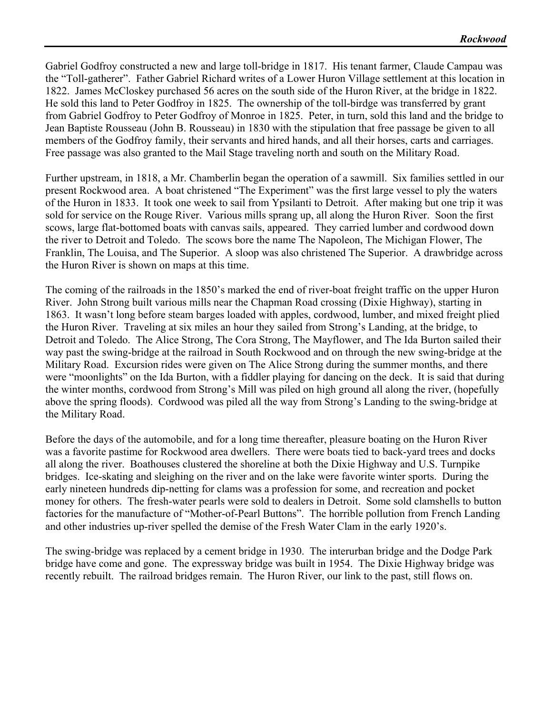Gabriel Godfroy constructed a new and large toll-bridge in 1817. His tenant farmer, Claude Campau was the "Toll-gatherer". Father Gabriel Richard writes of a Lower Huron Village settlement at this location in 1822. James McCloskey purchased 56 acres on the south side of the Huron River, at the bridge in 1822. He sold this land to Peter Godfroy in 1825. The ownership of the toll-birdge was transferred by grant from Gabriel Godfroy to Peter Godfroy of Monroe in 1825. Peter, in turn, sold this land and the bridge to Jean Baptiste Rousseau (John B. Rousseau) in 1830 with the stipulation that free passage be given to all members of the Godfroy family, their servants and hired hands, and all their horses, carts and carriages. Free passage was also granted to the Mail Stage traveling north and south on the Military Road.

Further upstream, in 1818, a Mr. Chamberlin began the operation of a sawmill. Six families settled in our present Rockwood area. A boat christened "The Experiment" was the first large vessel to ply the waters of the Huron in 1833. It took one week to sail from Ypsilanti to Detroit. After making but one trip it was sold for service on the Rouge River. Various mills sprang up, all along the Huron River. Soon the first scows, large flat-bottomed boats with canvas sails, appeared. They carried lumber and cordwood down the river to Detroit and Toledo. The scows bore the name The Napoleon, The Michigan Flower, The Franklin, The Louisa, and The Superior. A sloop was also christened The Superior. A drawbridge across the Huron River is shown on maps at this time.

The coming of the railroads in the 1850's marked the end of river-boat freight traffic on the upper Huron River. John Strong built various mills near the Chapman Road crossing (Dixie Highway), starting in 1863. It wasn't long before steam barges loaded with apples, cordwood, lumber, and mixed freight plied the Huron River. Traveling at six miles an hour they sailed from Strong's Landing, at the bridge, to Detroit and Toledo. The Alice Strong, The Cora Strong, The Mayflower, and The Ida Burton sailed their way past the swing-bridge at the railroad in South Rockwood and on through the new swing-bridge at the Military Road. Excursion rides were given on The Alice Strong during the summer months, and there were "moonlights" on the Ida Burton, with a fiddler playing for dancing on the deck. It is said that during the winter months, cordwood from Strong's Mill was piled on high ground all along the river, (hopefully above the spring floods). Cordwood was piled all the way from Strong's Landing to the swing-bridge at the Military Road.

Before the days of the automobile, and for a long time thereafter, pleasure boating on the Huron River was a favorite pastime for Rockwood area dwellers. There were boats tied to back-yard trees and docks all along the river. Boathouses clustered the shoreline at both the Dixie Highway and U.S. Turnpike bridges. Ice-skating and sleighing on the river and on the lake were favorite winter sports. During the early nineteen hundreds dip-netting for clams was a profession for some, and recreation and pocket money for others. The fresh-water pearls were sold to dealers in Detroit. Some sold clamshells to button factories for the manufacture of "Mother-of-Pearl Buttons". The horrible pollution from French Landing and other industries up-river spelled the demise of the Fresh Water Clam in the early 1920's.

The swing-bridge was replaced by a cement bridge in 1930. The interurban bridge and the Dodge Park bridge have come and gone. The expressway bridge was built in 1954. The Dixie Highway bridge was recently rebuilt. The railroad bridges remain. The Huron River, our link to the past, still flows on.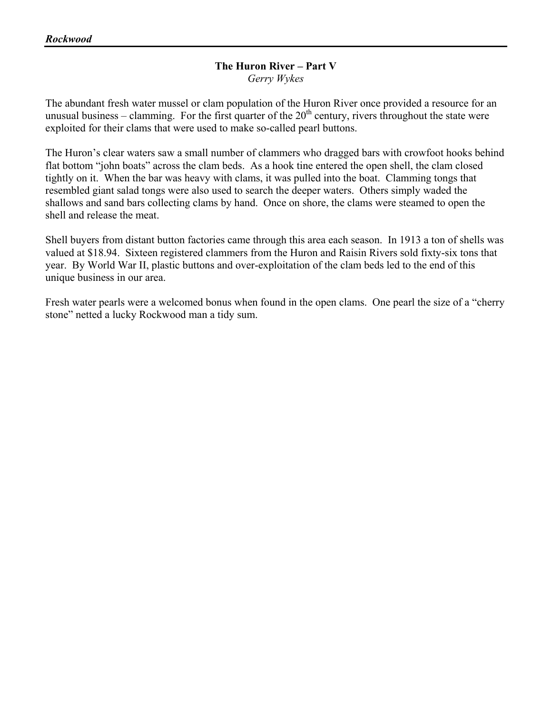#### **The Huron River – Part V**  *Gerry Wykes*

The abundant fresh water mussel or clam population of the Huron River once provided a resource for an unusual business – clamming. For the first quarter of the  $20<sup>th</sup>$  century, rivers throughout the state were exploited for their clams that were used to make so-called pearl buttons.

The Huron's clear waters saw a small number of clammers who dragged bars with crowfoot hooks behind flat bottom "john boats" across the clam beds. As a hook tine entered the open shell, the clam closed tightly on it. When the bar was heavy with clams, it was pulled into the boat. Clamming tongs that resembled giant salad tongs were also used to search the deeper waters. Others simply waded the shallows and sand bars collecting clams by hand. Once on shore, the clams were steamed to open the shell and release the meat.

Shell buyers from distant button factories came through this area each season. In 1913 a ton of shells was valued at \$18.94. Sixteen registered clammers from the Huron and Raisin Rivers sold fixty-six tons that year. By World War II, plastic buttons and over-exploitation of the clam beds led to the end of this unique business in our area.

Fresh water pearls were a welcomed bonus when found in the open clams. One pearl the size of a "cherry stone" netted a lucky Rockwood man a tidy sum.